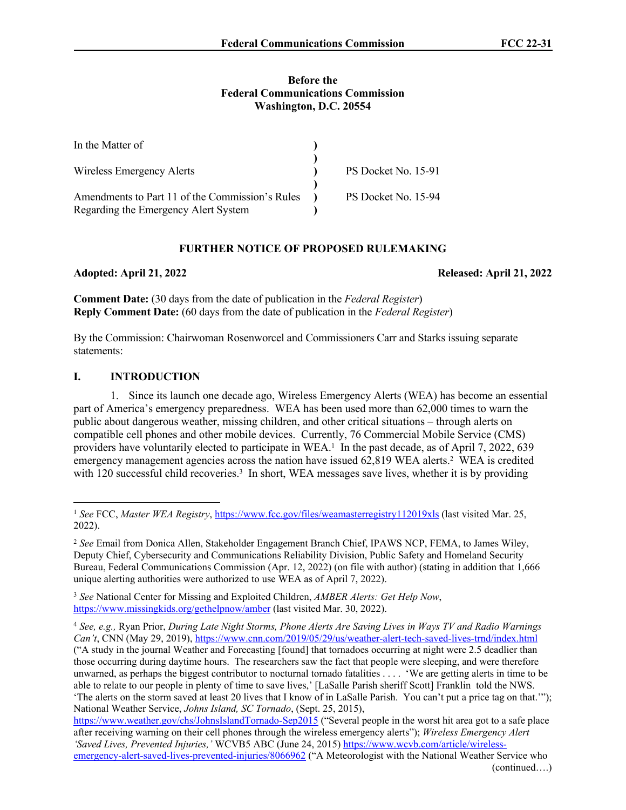#### **Before the Federal Communications Commission Washington, D.C. 20554**

| In the Matter of                                |                     |
|-------------------------------------------------|---------------------|
|                                                 |                     |
| Wireless Emergency Alerts                       | PS Docket No. 15-91 |
|                                                 |                     |
| Amendments to Part 11 of the Commission's Rules | PS Docket No. 15-94 |
| Regarding the Emergency Alert System            |                     |

### **FURTHER NOTICE OF PROPOSED RULEMAKING**

**Adopted: April 21, 2022 Released: April 21, 2022**

**Comment Date:** (30 days from the date of publication in the *Federal Register*) **Reply Comment Date:** (60 days from the date of publication in the *Federal Register*)

By the Commission: Chairwoman Rosenworcel and Commissioners Carr and Starks issuing separate statements:

### **I. INTRODUCTION**

1. Since its launch one decade ago, Wireless Emergency Alerts (WEA) has become an essential part of America's emergency preparedness. WEA has been used more than 62,000 times to warn the public about dangerous weather, missing children, and other critical situations – through alerts on compatible cell phones and other mobile devices. Currently, 76 Commercial Mobile Service (CMS) providers have voluntarily elected to participate in WEA.<sup>1</sup> In the past decade, as of April 7, 2022, 639 emergency management agencies across the nation have issued 62,819 WEA alerts.<sup>2</sup> WEA is credited with 120 successful child recoveries.<sup>3</sup> In short, WEA messages save lives, whether it is by providing

<sup>3</sup> *See* National Center for Missing and Exploited Children, *AMBER Alerts: Get Help Now*, <https://www.missingkids.org/gethelpnow/amber>(last visited Mar. 30, 2022).

<sup>4</sup> *See, e.g.,* Ryan Prior, *During Late Night Storms, Phone Alerts Are Saving Lives in Ways TV and Radio Warnings Can't*, CNN (May 29, 2019), <https://www.cnn.com/2019/05/29/us/weather-alert-tech-saved-lives-trnd/index.html> ("A study in the journal Weather and Forecasting [found] that tornadoes occurring at night were 2.5 deadlier than those occurring during daytime hours. The researchers saw the fact that people were sleeping, and were therefore unwarned, as perhaps the biggest contributor to nocturnal tornado fatalities . . . . 'We are getting alerts in time to be able to relate to our people in plenty of time to save lives,' [LaSalle Parish sheriff Scott] Franklin told the NWS. 'The alerts on the storm saved at least 20 lives that I know of in LaSalle Parish. You can't put a price tag on that.'"); National Weather Service, *Johns Island, SC Tornado*, (Sept. 25, 2015),

<https://www.weather.gov/chs/JohnsIslandTornado-Sep2015> ("Several people in the worst hit area got to a safe place after receiving warning on their cell phones through the wireless emergency alerts"); *Wireless Emergency Alert 'Saved Lives, Prevented Injuries,'* WCVB5 ABC (June 24, 2015) [https://www.wcvb.com/article/wireless-](https://www.wcvb.com/article/wireless-emergency-alert-saved-lives-prevented-injuries/8066962)

[emergency-alert-saved-lives-prevented-injuries/8066962](https://www.wcvb.com/article/wireless-emergency-alert-saved-lives-prevented-injuries/8066962) ("A Meteorologist with the National Weather Service who (continued….)

<sup>1</sup> *See* FCC, *Master WEA Registry*,<https://www.fcc.gov/files/weamasterregistry112019xls>(last visited Mar. 25, 2022).

<sup>2</sup> *See* Email from Donica Allen, Stakeholder Engagement Branch Chief, IPAWS NCP, FEMA, to James Wiley, Deputy Chief, Cybersecurity and Communications Reliability Division, Public Safety and Homeland Security Bureau, Federal Communications Commission (Apr. 12, 2022) (on file with author) (stating in addition that 1,666 unique alerting authorities were authorized to use WEA as of April 7, 2022).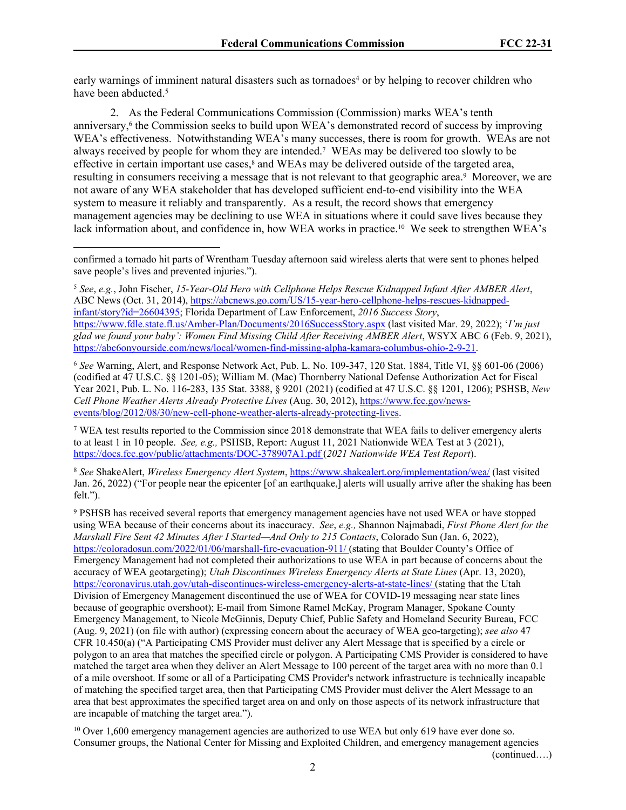early warnings of imminent natural disasters such as tornadoes<sup>4</sup> or by helping to recover children who have been abducted.<sup>5</sup>

2. As the Federal Communications Commission (Commission) marks WEA's tenth anniversary,<sup>6</sup> the Commission seeks to build upon WEA's demonstrated record of success by improving WEA's effectiveness. Notwithstanding WEA's many successes, there is room for growth. WEAs are not always received by people for whom they are intended.<sup>7</sup> WEAs may be delivered too slowly to be effective in certain important use cases,<sup>8</sup> and WEAs may be delivered outside of the targeted area, resulting in consumers receiving a message that is not relevant to that geographic area.<sup>9</sup> Moreover, we are not aware of any WEA stakeholder that has developed sufficient end-to-end visibility into the WEA system to measure it reliably and transparently. As a result, the record shows that emergency management agencies may be declining to use WEA in situations where it could save lives because they lack information about, and confidence in, how WEA works in practice.<sup>10</sup> We seek to strengthen WEA's

<sup>5</sup> *See*, *e.g.*, John Fischer, *15-Year-Old Hero with Cellphone Helps Rescue Kidnapped Infant After AMBER Alert*, ABC News (Oct. 31, 2014), [https://abcnews.go.com/US/15-year-hero-cellphone-helps-rescues-kidnapped](https://abcnews.go.com/US/15-year-hero-cellphone-helps-rescues-kidnapped-infant/story?id=26604395)[infant/story?id=26604395;](https://abcnews.go.com/US/15-year-hero-cellphone-helps-rescues-kidnapped-infant/story?id=26604395) Florida Department of Law Enforcement, *2016 Success Story*, <https://www.fdle.state.fl.us/Amber-Plan/Documents/2016SuccessStory.aspx> (last visited Mar. 29, 2022); '*I'm just glad we found your baby': Women Find Missing Child After Receiving AMBER Alert*, WSYX ABC 6 (Feb. 9, 2021), [https://abc6onyourside.com/news/local/women-find-missing-alpha-kamara-columbus-ohio-2-9-21.](https://abc6onyourside.com/news/local/women-find-missing-alpha-kamara-columbus-ohio-2-9-21)

<sup>6</sup> *See* Warning, Alert, and Response Network Act, Pub. L. No. 109-347, 120 Stat. 1884, Title VI, §§ 601-06 (2006) (codified at 47 U.S.C. §§ 1201-05); William M. (Mac) Thornberry National Defense Authorization Act for Fiscal Year 2021, Pub. L. No. 116-283, 135 Stat. 3388, § 9201 (2021) (codified at 47 U.S.C. §§ 1201, 1206); PSHSB, *New Cell Phone Weather Alerts Already Protective Lives* (Aug. 30, 2012), [https://www.fcc.gov/news](https://www.fcc.gov/news-events/blog/2012/08/30/new-cell-phone-weather-alerts-already-protecting-lives)[events/blog/2012/08/30/new-cell-phone-weather-alerts-already-protecting-lives](https://www.fcc.gov/news-events/blog/2012/08/30/new-cell-phone-weather-alerts-already-protecting-lives).

<sup>7</sup> WEA test results reported to the Commission since 2018 demonstrate that WEA fails to deliver emergency alerts to at least 1 in 10 people. *See, e.g.,* PSHSB, Report: August 11, 2021 Nationwide WEA Test at 3 (2021), <https://docs.fcc.gov/public/attachments/DOC-378907A1.pdf>(*2021 Nationwide WEA Test Report*).

<sup>8</sup> *See* ShakeAlert, *Wireless Emergency Alert System*, <https://www.shakealert.org/implementation/wea/> (last visited Jan. 26, 2022) ("For people near the epicenter [of an earthquake,] alerts will usually arrive after the shaking has been felt.").

9 PSHSB has received several reports that emergency management agencies have not used WEA or have stopped using WEA because of their concerns about its inaccuracy. *See*, *e.g.,* Shannon Najmabadi, *First Phone Alert for the Marshall Fire Sent 42 Minutes After I Started—And Only to 215 Contacts*, Colorado Sun (Jan. 6, 2022), <https://coloradosun.com/2022/01/06/marshall-fire-evacuation-911/>(stating that Boulder County's Office of Emergency Management had not completed their authorizations to use WEA in part because of concerns about the accuracy of WEA geotargeting); *Utah Discontinues Wireless Emergency Alerts at State Lines* (Apr. 13, 2020), <https://coronavirus.utah.gov/utah-discontinues-wireless-emergency-alerts-at-state-lines/>(stating that the Utah Division of Emergency Management discontinued the use of WEA for COVID-19 messaging near state lines because of geographic overshoot); E-mail from Simone Ramel McKay, Program Manager, Spokane County Emergency Management, to Nicole McGinnis, Deputy Chief, Public Safety and Homeland Security Bureau, FCC (Aug. 9, 2021) (on file with author) (expressing concern about the accuracy of WEA geo-targeting); *see also* 47 CFR 10.450(a) ("A Participating CMS Provider must deliver any Alert Message that is specified by a circle or polygon to an area that matches the specified circle or polygon. A Participating CMS Provider is considered to have matched the target area when they deliver an Alert Message to 100 percent of the target area with no more than 0.1 of a mile overshoot. If some or all of a Participating CMS Provider's network infrastructure is technically incapable of matching the specified target area, then that Participating CMS Provider must deliver the Alert Message to an area that best approximates the specified target area on and only on those aspects of its network infrastructure that are incapable of matching the target area.").

<sup>10</sup> Over 1,600 emergency management agencies are authorized to use WEA but only 619 have ever done so. Consumer groups, the National Center for Missing and Exploited Children, and emergency management agencies

(continued….)

confirmed a tornado hit parts of Wrentham Tuesday afternoon said wireless alerts that were sent to phones helped save people's lives and prevented injuries.").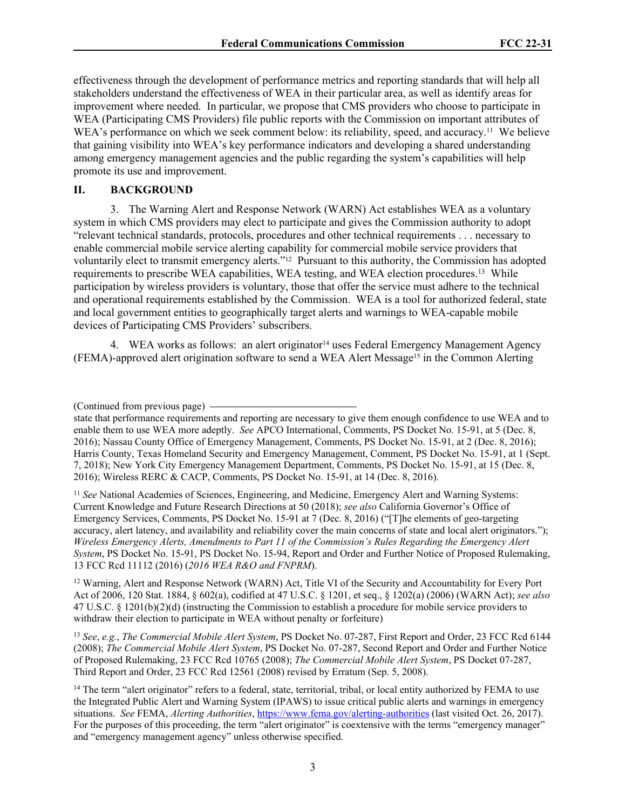effectiveness through the development of performance metrics and reporting standards that will help all stakeholders understand the effectiveness of WEA in their particular area, as well as identify areas for improvement where needed. In particular, we propose that CMS providers who choose to participate in WEA (Participating CMS Providers) file public reports with the Commission on important attributes of WEA's performance on which we seek comment below: its reliability, speed, and accuracy.<sup>11</sup> We believe that gaining visibility into WEA's key performance indicators and developing a shared understanding among emergency management agencies and the public regarding the system's capabilities will help promote its use and improvement.

#### **II. BACKGROUND**

3. The Warning Alert and Response Network (WARN) Act establishes WEA as a voluntary system in which CMS providers may elect to participate and gives the Commission authority to adopt "relevant technical standards, protocols, procedures and other technical requirements . . . necessary to enable commercial mobile service alerting capability for commercial mobile service providers that voluntarily elect to transmit emergency alerts."12 Pursuant to this authority, the Commission has adopted requirements to prescribe WEA capabilities, WEA testing, and WEA election procedures.<sup>13</sup> While participation by wireless providers is voluntary, those that offer the service must adhere to the technical and operational requirements established by the Commission. WEA is a tool for authorized federal, state and local government entities to geographically target alerts and warnings to WEA-capable mobile devices of Participating CMS Providers' subscribers.

4. WEA works as follows: an alert originator<sup>14</sup> uses Federal Emergency Management Agency (FEMA)-approved alert origination software to send a WEA Alert Message15 in the Common Alerting

<sup>11</sup> See National Academies of Sciences, Engineering, and Medicine, Emergency Alert and Warning Systems: Current Knowledge and Future Research Directions at 50 (2018); *see also* California Governor's Office of Emergency Services, Comments, PS Docket No. 15-91 at 7 (Dec. 8, 2016) ("[T]he elements of geo-targeting accuracy, alert latency, and availability and reliability cover the main concerns of state and local alert originators."); *Wireless Emergency Alerts, Amendments to Part 11 of the Commission's Rules Regarding the Emergency Alert System*, PS Docket No. 15-91, PS Docket No. 15-94, Report and Order and Further Notice of Proposed Rulemaking, 13 FCC Rcd 11112 (2016) (*2016 WEA R&O and FNPRM*).

<sup>12</sup> Warning, Alert and Response Network (WARN) Act, Title VI of the Security and Accountability for Every Port Act of 2006, 120 Stat. 1884, § 602(a), codified at 47 U.S.C. § 1201, et seq., § 1202(a) (2006) (WARN Act); *see also* 47 U.S.C. § 1201(b)(2)(d) (instructing the Commission to establish a procedure for mobile service providers to withdraw their election to participate in WEA without penalty or forfeiture)

<sup>13</sup> *See*, *e.g.*, *The Commercial Mobile Alert System*, PS Docket No. 07-287, First Report and Order, 23 FCC Rcd 6144 (2008); *The Commercial Mobile Alert System*, PS Docket No. 07-287, Second Report and Order and Further Notice of Proposed Rulemaking, 23 FCC Rcd 10765 (2008); *The Commercial Mobile Alert System*, PS Docket 07-287, Third Report and Order, 23 FCC Rcd 12561 (2008) revised by Erratum (Sep. 5, 2008).

<sup>(</sup>Continued from previous page)

state that performance requirements and reporting are necessary to give them enough confidence to use WEA and to enable them to use WEA more adeptly. *See* APCO International, Comments, PS Docket No. 15-91, at 5 (Dec. 8, 2016); Nassau County Office of Emergency Management, Comments, PS Docket No. 15-91, at 2 (Dec. 8, 2016); Harris County, Texas Homeland Security and Emergency Management, Comment, PS Docket No. 15-91, at 1 (Sept. 7, 2018); New York City Emergency Management Department, Comments, PS Docket No. 15-91, at 15 (Dec. 8, 2016); Wireless RERC & CACP, Comments, PS Docket No. 15-91, at 14 (Dec. 8, 2016).

<sup>&</sup>lt;sup>14</sup> The term "alert originator" refers to a federal, state, territorial, tribal, or local entity authorized by FEMA to use the Integrated Public Alert and Warning System (IPAWS) to issue critical public alerts and warnings in emergency situations. *See* FEMA, *Alerting Authorities*, <https://www.fema.gov/alerting-authorities> (last visited Oct. 26, 2017). For the purposes of this proceeding, the term "alert originator" is coextensive with the terms "emergency manager" and "emergency management agency" unless otherwise specified.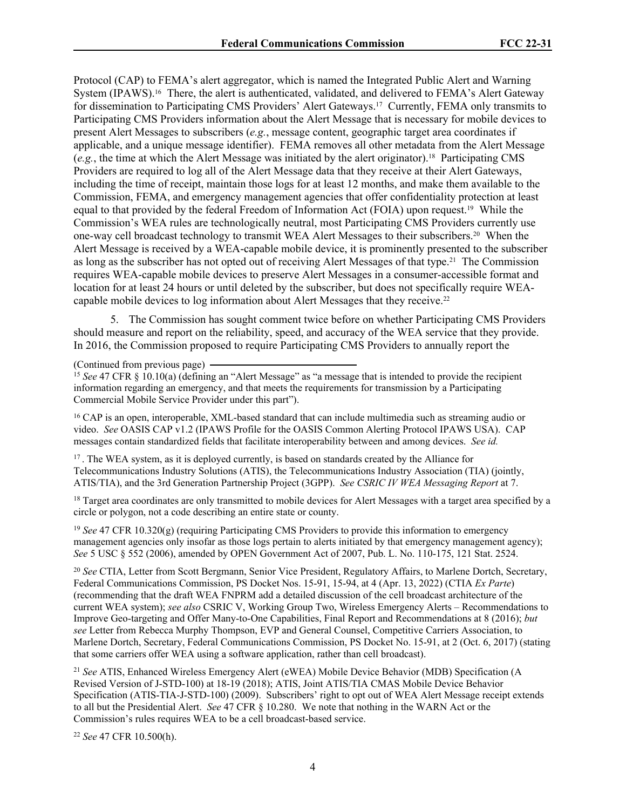Protocol (CAP) to FEMA's alert aggregator, which is named the Integrated Public Alert and Warning System (IPAWS).16 There, the alert is authenticated, validated, and delivered to FEMA's Alert Gateway for dissemination to Participating CMS Providers' Alert Gateways.17 Currently, FEMA only transmits to Participating CMS Providers information about the Alert Message that is necessary for mobile devices to present Alert Messages to subscribers (*e.g.*, message content, geographic target area coordinates if applicable, and a unique message identifier). FEMA removes all other metadata from the Alert Message (*e.g.*, the time at which the Alert Message was initiated by the alert originator).18 Participating CMS Providers are required to log all of the Alert Message data that they receive at their Alert Gateways, including the time of receipt, maintain those logs for at least 12 months, and make them available to the Commission, FEMA, and emergency management agencies that offer confidentiality protection at least equal to that provided by the federal Freedom of Information Act (FOIA) upon request.19 While the Commission's WEA rules are technologically neutral, most Participating CMS Providers currently use one-way cell broadcast technology to transmit WEA Alert Messages to their subscribers.20 When the Alert Message is received by a WEA-capable mobile device, it is prominently presented to the subscriber as long as the subscriber has not opted out of receiving Alert Messages of that type.21 The Commission requires WEA-capable mobile devices to preserve Alert Messages in a consumer-accessible format and location for at least 24 hours or until deleted by the subscriber, but does not specifically require WEAcapable mobile devices to log information about Alert Messages that they receive.<sup>22</sup>

5. The Commission has sought comment twice before on whether Participating CMS Providers should measure and report on the reliability, speed, and accuracy of the WEA service that they provide. In 2016, the Commission proposed to require Participating CMS Providers to annually report the

(Continued from previous page)

<sup>15</sup> *See* 47 CFR § 10.10(a) (defining an "Alert Message" as "a message that is intended to provide the recipient information regarding an emergency, and that meets the requirements for transmission by a Participating Commercial Mobile Service Provider under this part").

<sup>16</sup> CAP is an open, interoperable, XML-based standard that can include multimedia such as streaming audio or video. *See* OASIS CAP v1.2 (IPAWS Profile for the OASIS Common Alerting Protocol IPAWS USA). CAP messages contain standardized fields that facilitate interoperability between and among devices. *See id.*

<sup>17</sup>. The WEA system, as it is deployed currently, is based on standards created by the Alliance for Telecommunications Industry Solutions (ATIS), the Telecommunications Industry Association (TIA) (jointly, ATIS/TIA), and the 3rd Generation Partnership Project (3GPP). *See CSRIC IV WEA Messaging Report* at 7.

<sup>18</sup> Target area coordinates are only transmitted to mobile devices for Alert Messages with a target area specified by a circle or polygon, not a code describing an entire state or county.

<sup>19</sup> *See* 47 CFR 10.320(g) (requiring Participating CMS Providers to provide this information to emergency management agencies only insofar as those logs pertain to alerts initiated by that emergency management agency); *See* 5 USC § 552 (2006), amended by OPEN Government Act of 2007, Pub. L. No. 110-175, 121 Stat. 2524.

<sup>20</sup> *See* CTIA, Letter from Scott Bergmann, Senior Vice President, Regulatory Affairs, to Marlene Dortch, Secretary, Federal Communications Commission, PS Docket Nos. 15-91, 15-94, at 4 (Apr. 13, 2022) (CTIA *Ex Parte*) (recommending that the draft WEA FNPRM add a detailed discussion of the cell broadcast architecture of the current WEA system); *see also* CSRIC V, Working Group Two, Wireless Emergency Alerts – Recommendations to Improve Geo-targeting and Offer Many-to-One Capabilities, Final Report and Recommendations at 8 (2016); *but see* Letter from Rebecca Murphy Thompson, EVP and General Counsel, Competitive Carriers Association, to Marlene Dortch, Secretary, Federal Communications Commission, PS Docket No. 15-91, at 2 (Oct. 6, 2017) (stating that some carriers offer WEA using a software application, rather than cell broadcast).

<sup>21</sup> *See* ATIS, Enhanced Wireless Emergency Alert (eWEA) Mobile Device Behavior (MDB) Specification (A Revised Version of J-STD-100) at 18-19 (2018); ATIS, Joint ATIS/TIA CMAS Mobile Device Behavior Specification (ATIS-TIA-J-STD-100) (2009). Subscribers' right to opt out of WEA Alert Message receipt extends to all but the Presidential Alert. *See* 47 CFR § 10.280. We note that nothing in the WARN Act or the Commission's rules requires WEA to be a cell broadcast-based service.

<sup>22</sup> *See* 47 CFR 10.500(h).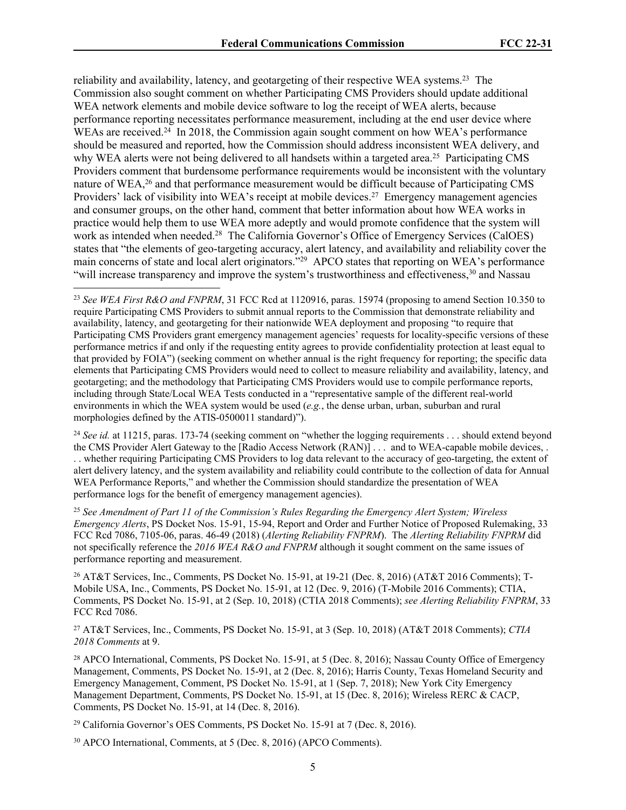reliability and availability, latency, and geotargeting of their respective WEA systems.<sup>23</sup> The Commission also sought comment on whether Participating CMS Providers should update additional WEA network elements and mobile device software to log the receipt of WEA alerts, because performance reporting necessitates performance measurement, including at the end user device where WEAs are received.<sup>24</sup> In 2018, the Commission again sought comment on how WEA's performance should be measured and reported, how the Commission should address inconsistent WEA delivery, and why WEA alerts were not being delivered to all handsets within a targeted area.<sup>25</sup> Participating CMS Providers comment that burdensome performance requirements would be inconsistent with the voluntary nature of WEA,<sup>26</sup> and that performance measurement would be difficult because of Participating CMS Providers' lack of visibility into WEA's receipt at mobile devices.<sup>27</sup> Emergency management agencies and consumer groups, on the other hand, comment that better information about how WEA works in practice would help them to use WEA more adeptly and would promote confidence that the system will work as intended when needed.<sup>28</sup> The California Governor's Office of Emergency Services (CalOES) states that "the elements of geo-targeting accuracy, alert latency, and availability and reliability cover the main concerns of state and local alert originators."<sup>29</sup> APCO states that reporting on WEA's performance "will increase transparency and improve the system's trustworthiness and effectiveness,<sup>30</sup> and Nassau

<sup>24</sup> *See id.* at 11215, paras. 173-74 (seeking comment on "whether the logging requirements . . . should extend beyond the CMS Provider Alert Gateway to the [Radio Access Network (RAN)] . . . and to WEA-capable mobile devices, . . . whether requiring Participating CMS Providers to log data relevant to the accuracy of geo-targeting, the extent of alert delivery latency, and the system availability and reliability could contribute to the collection of data for Annual WEA Performance Reports," and whether the Commission should standardize the presentation of WEA performance logs for the benefit of emergency management agencies).

<sup>25</sup> *See Amendment of Part 11 of the Commission's Rules Regarding the Emergency Alert System; Wireless Emergency Alerts*, PS Docket Nos. 15-91, 15-94, Report and Order and Further Notice of Proposed Rulemaking, 33 FCC Rcd 7086, 7105-06, paras. 46-49 (2018) (*Alerting Reliability FNPRM*). The *Alerting Reliability FNPRM* did not specifically reference the *2016 WEA R&O and FNPRM* although it sought comment on the same issues of performance reporting and measurement.

26 AT&T Services, Inc., Comments, PS Docket No. 15-91, at 19-21 (Dec. 8, 2016) (AT&T 2016 Comments); T-Mobile USA, Inc., Comments, PS Docket No. 15-91, at 12 (Dec. 9, 2016) (T-Mobile 2016 Comments); CTIA, Comments, PS Docket No. 15-91, at 2 (Sep. 10, 2018) (CTIA 2018 Comments); *see Alerting Reliability FNPRM*, 33 FCC Rcd 7086.

<sup>27</sup> AT&T Services, Inc., Comments, PS Docket No. 15-91, at 3 (Sep. 10, 2018) (AT&T 2018 Comments); *CTIA 2018 Comments* at 9.

<sup>28</sup> APCO International, Comments, PS Docket No. 15-91, at 5 (Dec. 8, 2016); Nassau County Office of Emergency Management, Comments, PS Docket No. 15-91, at 2 (Dec. 8, 2016); Harris County, Texas Homeland Security and Emergency Management, Comment, PS Docket No. 15-91, at 1 (Sep. 7, 2018); New York City Emergency Management Department, Comments, PS Docket No. 15-91, at 15 (Dec. 8, 2016); Wireless RERC & CACP, Comments, PS Docket No. 15-91, at 14 (Dec. 8, 2016).

<sup>29</sup> California Governor's OES Comments, PS Docket No. 15-91 at 7 (Dec. 8, 2016).

30 APCO International, Comments, at 5 (Dec. 8, 2016) (APCO Comments).

<sup>23</sup> *See WEA First R&O and FNPRM*, 31 FCC Rcd at 1120916, paras. 15974 (proposing to amend Section 10.350 to require Participating CMS Providers to submit annual reports to the Commission that demonstrate reliability and availability, latency, and geotargeting for their nationwide WEA deployment and proposing "to require that Participating CMS Providers grant emergency management agencies' requests for locality-specific versions of these performance metrics if and only if the requesting entity agrees to provide confidentiality protection at least equal to that provided by FOIA") (seeking comment on whether annual is the right frequency for reporting; the specific data elements that Participating CMS Providers would need to collect to measure reliability and availability, latency, and geotargeting; and the methodology that Participating CMS Providers would use to compile performance reports, including through State/Local WEA Tests conducted in a "representative sample of the different real-world environments in which the WEA system would be used (*e.g.*, the dense urban, urban, suburban and rural morphologies defined by the ATIS-0500011 standard)").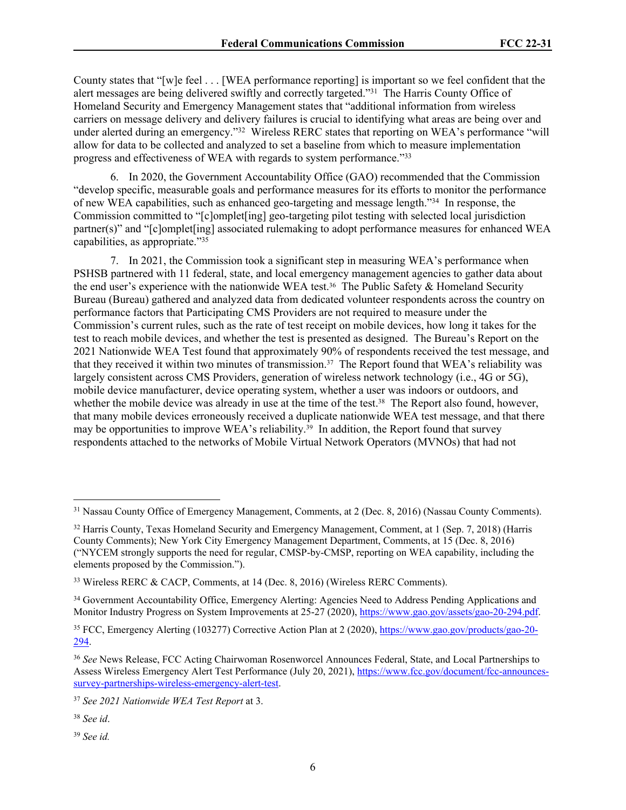County states that "[w]e feel . . . [WEA performance reporting] is important so we feel confident that the alert messages are being delivered swiftly and correctly targeted."<sup>31</sup> The Harris County Office of Homeland Security and Emergency Management states that "additional information from wireless carriers on message delivery and delivery failures is crucial to identifying what areas are being over and under alerted during an emergency."<sup>32</sup> Wireless RERC states that reporting on WEA's performance "will allow for data to be collected and analyzed to set a baseline from which to measure implementation progress and effectiveness of WEA with regards to system performance."33

6. In 2020, the Government Accountability Office (GAO) recommended that the Commission "develop specific, measurable goals and performance measures for its efforts to monitor the performance of new WEA capabilities, such as enhanced geo-targeting and message length."<sup>34</sup> In response, the Commission committed to "[c]omplet[ing] geo-targeting pilot testing with selected local jurisdiction partner(s)" and "[c]omplet[ing] associated rulemaking to adopt performance measures for enhanced WEA capabilities, as appropriate."<sup>35</sup>

7. In 2021, the Commission took a significant step in measuring WEA's performance when PSHSB partnered with 11 federal, state, and local emergency management agencies to gather data about the end user's experience with the nationwide WEA test.36 The Public Safety & Homeland Security Bureau (Bureau) gathered and analyzed data from dedicated volunteer respondents across the country on performance factors that Participating CMS Providers are not required to measure under the Commission's current rules, such as the rate of test receipt on mobile devices, how long it takes for the test to reach mobile devices, and whether the test is presented as designed. The Bureau's Report on the 2021 Nationwide WEA Test found that approximately 90% of respondents received the test message, and that they received it within two minutes of transmission.37 The Report found that WEA's reliability was largely consistent across CMS Providers, generation of wireless network technology (i.e., 4G or 5G), mobile device manufacturer, device operating system, whether a user was indoors or outdoors, and whether the mobile device was already in use at the time of the test.<sup>38</sup> The Report also found, however, that many mobile devices erroneously received a duplicate nationwide WEA test message, and that there may be opportunities to improve WEA's reliability.<sup>39</sup> In addition, the Report found that survey respondents attached to the networks of Mobile Virtual Network Operators (MVNOs) that had not

<sup>31</sup> Nassau County Office of Emergency Management, Comments, at 2 (Dec. 8, 2016) (Nassau County Comments).

<sup>&</sup>lt;sup>32</sup> Harris County, Texas Homeland Security and Emergency Management, Comment, at 1 (Sep. 7, 2018) (Harris County Comments); New York City Emergency Management Department, Comments, at 15 (Dec. 8, 2016) ("NYCEM strongly supports the need for regular, CMSP-by-CMSP, reporting on WEA capability, including the elements proposed by the Commission.").

<sup>33</sup> Wireless RERC & CACP, Comments, at 14 (Dec. 8, 2016) (Wireless RERC Comments).

<sup>&</sup>lt;sup>34</sup> Government Accountability Office, Emergency Alerting: Agencies Need to Address Pending Applications and Monitor Industry Progress on System Improvements at 25-27 (2020), [https://www.gao.gov/assets/gao-20-294.pdf.](https://www.gao.gov/assets/gao-20-294.pdf)

<sup>&</sup>lt;sup>35</sup> FCC, Emergency Alerting (103277) Corrective Action Plan at 2 (2020), [https://www.gao.gov/products/gao-20-](https://www.gao.gov/products/gao-20-294) [294](https://www.gao.gov/products/gao-20-294).

<sup>36</sup> *See* News Release, FCC Acting Chairwoman Rosenworcel Announces Federal, State, and Local Partnerships to Assess Wireless Emergency Alert Test Performance (July 20, 2021), [https://www.fcc.gov/document/fcc-announces](https://www.fcc.gov/document/fcc-announces-survey-partnerships-wireless-emergency-alert-test)[survey-partnerships-wireless-emergency-alert-test](https://www.fcc.gov/document/fcc-announces-survey-partnerships-wireless-emergency-alert-test).

<sup>37</sup> *See 2021 Nationwide WEA Test Report* at 3.

<sup>38</sup> *See id*.

<sup>39</sup> *See id.*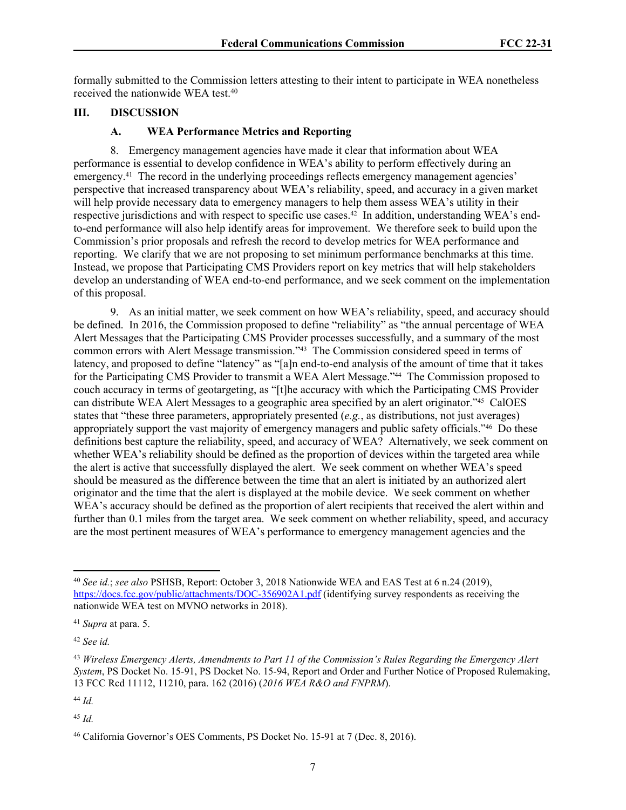formally submitted to the Commission letters attesting to their intent to participate in WEA nonetheless received the nationwide WEA test.<sup>40</sup>

#### **III. DISCUSSION**

#### **A. WEA Performance Metrics and Reporting**

8. Emergency management agencies have made it clear that information about WEA performance is essential to develop confidence in WEA's ability to perform effectively during an emergency.<sup>41</sup> The record in the underlying proceedings reflects emergency management agencies' perspective that increased transparency about WEA's reliability, speed, and accuracy in a given market will help provide necessary data to emergency managers to help them assess WEA's utility in their respective jurisdictions and with respect to specific use cases.<sup>42</sup> In addition, understanding WEA's endto-end performance will also help identify areas for improvement. We therefore seek to build upon the Commission's prior proposals and refresh the record to develop metrics for WEA performance and reporting. We clarify that we are not proposing to set minimum performance benchmarks at this time. Instead, we propose that Participating CMS Providers report on key metrics that will help stakeholders develop an understanding of WEA end-to-end performance, and we seek comment on the implementation of this proposal.

9. As an initial matter, we seek comment on how WEA's reliability, speed, and accuracy should be defined. In 2016, the Commission proposed to define "reliability" as "the annual percentage of WEA Alert Messages that the Participating CMS Provider processes successfully, and a summary of the most common errors with Alert Message transmission."43 The Commission considered speed in terms of latency, and proposed to define "latency" as "[a]n end-to-end analysis of the amount of time that it takes for the Participating CMS Provider to transmit a WEA Alert Message."44 The Commission proposed to couch accuracy in terms of geotargeting, as "[t]he accuracy with which the Participating CMS Provider can distribute WEA Alert Messages to a geographic area specified by an alert originator."45 CalOES states that "these three parameters, appropriately presented (*e.g.*, as distributions, not just averages) appropriately support the vast majority of emergency managers and public safety officials."46 Do these definitions best capture the reliability, speed, and accuracy of WEA? Alternatively, we seek comment on whether WEA's reliability should be defined as the proportion of devices within the targeted area while the alert is active that successfully displayed the alert. We seek comment on whether WEA's speed should be measured as the difference between the time that an alert is initiated by an authorized alert originator and the time that the alert is displayed at the mobile device. We seek comment on whether WEA's accuracy should be defined as the proportion of alert recipients that received the alert within and further than 0.1 miles from the target area. We seek comment on whether reliability, speed, and accuracy are the most pertinent measures of WEA's performance to emergency management agencies and the

<sup>42</sup> *See id.*

<sup>45</sup> *Id.*

<sup>40</sup> *See id.*; *see also* PSHSB, Report: October 3, 2018 Nationwide WEA and EAS Test at 6 n.24 (2019), <https://docs.fcc.gov/public/attachments/DOC-356902A1.pdf>(identifying survey respondents as receiving the nationwide WEA test on MVNO networks in 2018).

<sup>41</sup> *Supra* at para. 5.

<sup>43</sup> *Wireless Emergency Alerts, Amendments to Part 11 of the Commission's Rules Regarding the Emergency Alert System*, PS Docket No. 15-91, PS Docket No. 15-94, Report and Order and Further Notice of Proposed Rulemaking, 13 FCC Rcd 11112, 11210, para. 162 (2016) (*2016 WEA R&O and FNPRM*).

<sup>44</sup> *Id.*

<sup>46</sup> California Governor's OES Comments, PS Docket No. 15-91 at 7 (Dec. 8, 2016).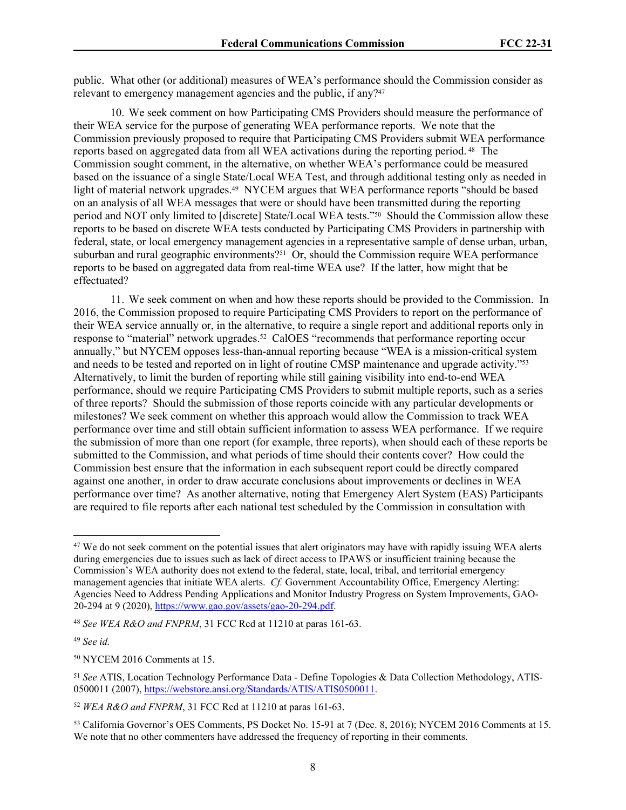public. What other (or additional) measures of WEA's performance should the Commission consider as relevant to emergency management agencies and the public, if any?<sup>47</sup>

10. We seek comment on how Participating CMS Providers should measure the performance of their WEA service for the purpose of generating WEA performance reports.We note that the Commission previously proposed to require that Participating CMS Providers submit WEA performance reports based on aggregated data from all WEA activations during the reporting period. 48 The Commission sought comment, in the alternative, on whether WEA's performance could be measured based on the issuance of a single State/Local WEA Test, and through additional testing only as needed in light of material network upgrades.49 NYCEM argues that WEA performance reports "should be based on an analysis of all WEA messages that were or should have been transmitted during the reporting period and NOT only limited to [discrete] State/Local WEA tests."50 Should the Commission allow these reports to be based on discrete WEA tests conducted by Participating CMS Providers in partnership with federal, state, or local emergency management agencies in a representative sample of dense urban, urban, suburban and rural geographic environments?51 Or, should the Commission require WEA performance reports to be based on aggregated data from real-time WEA use? If the latter, how might that be effectuated?

11. We seek comment on when and how these reports should be provided to the Commission. In 2016, the Commission proposed to require Participating CMS Providers to report on the performance of their WEA service annually or, in the alternative, to require a single report and additional reports only in response to "material" network upgrades.52 CalOES "recommends that performance reporting occur annually," but NYCEM opposes less-than-annual reporting because "WEA is a mission-critical system and needs to be tested and reported on in light of routine CMSP maintenance and upgrade activity."<sup>53</sup> Alternatively, to limit the burden of reporting while still gaining visibility into end-to-end WEA performance, should we require Participating CMS Providers to submit multiple reports, such as a series of three reports? Should the submission of those reports coincide with any particular developments or milestones? We seek comment on whether this approach would allow the Commission to track WEA performance over time and still obtain sufficient information to assess WEA performance. If we require the submission of more than one report (for example, three reports), when should each of these reports be submitted to the Commission, and what periods of time should their contents cover? How could the Commission best ensure that the information in each subsequent report could be directly compared against one another, in order to draw accurate conclusions about improvements or declines in WEA performance over time? As another alternative, noting that Emergency Alert System (EAS) Participants are required to file reports after each national test scheduled by the Commission in consultation with

<sup>49</sup> *See id.*

<sup>&</sup>lt;sup>47</sup> We do not seek comment on the potential issues that alert originators may have with rapidly issuing WEA alerts during emergencies due to issues such as lack of direct access to IPAWS or insufficient training because the Commission's WEA authority does not extend to the federal, state, local, tribal, and territorial emergency management agencies that initiate WEA alerts. *Cf.* Government Accountability Office, Emergency Alerting: Agencies Need to Address Pending Applications and Monitor Industry Progress on System Improvements, GAO-20-294 at 9 (2020), <https://www.gao.gov/assets/gao-20-294.pdf>.

<sup>48</sup> *See WEA R&O and FNPRM*, 31 FCC Rcd at 11210 at paras 161-63.

<sup>50</sup> NYCEM 2016 Comments at 15.

<sup>51</sup> *See* ATIS, Location Technology Performance Data - Define Topologies & Data Collection Methodology, ATIS-0500011 (2007), [https://webstore.ansi.org/Standards/ATIS/ATIS0500011.](https://webstore.ansi.org/Standards/ATIS/ATIS0500011)

<sup>52</sup> *WEA R&O and FNPRM*, 31 FCC Rcd at 11210 at paras 161-63.

<sup>53</sup> California Governor's OES Comments, PS Docket No. 15-91 at 7 (Dec. 8, 2016); NYCEM 2016 Comments at 15. We note that no other commenters have addressed the frequency of reporting in their comments.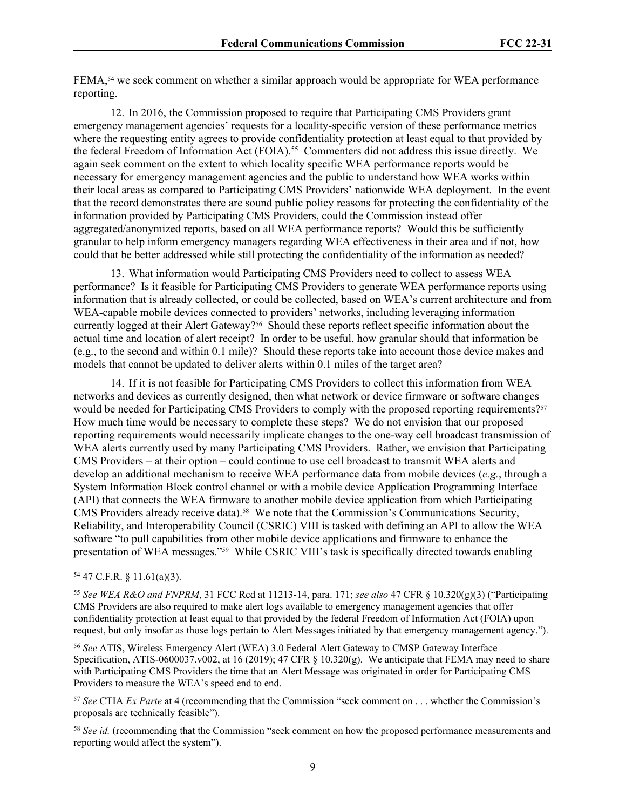FEMA,54 we seek comment on whether a similar approach would be appropriate for WEA performance reporting.

12. In 2016, the Commission proposed to require that Participating CMS Providers grant emergency management agencies' requests for a locality-specific version of these performance metrics where the requesting entity agrees to provide confidentiality protection at least equal to that provided by the federal Freedom of Information Act (FOIA).<sup>55</sup> Commenters did not address this issue directly. We again seek comment on the extent to which locality specific WEA performance reports would be necessary for emergency management agencies and the public to understand how WEA works within their local areas as compared to Participating CMS Providers' nationwide WEA deployment. In the event that the record demonstrates there are sound public policy reasons for protecting the confidentiality of the information provided by Participating CMS Providers, could the Commission instead offer aggregated/anonymized reports, based on all WEA performance reports? Would this be sufficiently granular to help inform emergency managers regarding WEA effectiveness in their area and if not, how could that be better addressed while still protecting the confidentiality of the information as needed?

13. What information would Participating CMS Providers need to collect to assess WEA performance? Is it feasible for Participating CMS Providers to generate WEA performance reports using information that is already collected, or could be collected, based on WEA's current architecture and from WEA-capable mobile devices connected to providers' networks, including leveraging information currently logged at their Alert Gateway?<sup>56</sup> Should these reports reflect specific information about the actual time and location of alert receipt? In order to be useful, how granular should that information be (e.g., to the second and within 0.1 mile)? Should these reports take into account those device makes and models that cannot be updated to deliver alerts within 0.1 miles of the target area?

14. If it is not feasible for Participating CMS Providers to collect this information from WEA networks and devices as currently designed, then what network or device firmware or software changes would be needed for Participating CMS Providers to comply with the proposed reporting requirements?<sup>57</sup> How much time would be necessary to complete these steps? We do not envision that our proposed reporting requirements would necessarily implicate changes to the one-way cell broadcast transmission of WEA alerts currently used by many Participating CMS Providers. Rather, we envision that Participating CMS Providers – at their option – could continue to use cell broadcast to transmit WEA alerts and develop an additional mechanism to receive WEA performance data from mobile devices (*e.g.*, through a System Information Block control channel or with a mobile device Application Programming Interface (API) that connects the WEA firmware to another mobile device application from which Participating CMS Providers already receive data).58 We note that the Commission's Communications Security, Reliability, and Interoperability Council (CSRIC) VIII is tasked with defining an API to allow the WEA software "to pull capabilities from other mobile device applications and firmware to enhance the presentation of WEA messages."59 While CSRIC VIII's task is specifically directed towards enabling

#### <sup>54</sup> 47 C.F.R. § 11.61(a)(3).

<sup>55</sup> *See WEA R&O and FNPRM*, 31 FCC Rcd at 11213-14, para. 171; *see also* 47 CFR § 10.320(g)(3) ("Participating CMS Providers are also required to make alert logs available to emergency management agencies that offer confidentiality protection at least equal to that provided by the federal Freedom of Information Act (FOIA) upon request, but only insofar as those logs pertain to Alert Messages initiated by that emergency management agency.").

<sup>56</sup> *See* ATIS, Wireless Emergency Alert (WEA) 3.0 Federal Alert Gateway to CMSP Gateway Interface Specification, ATIS-0600037.v002, at 16 (2019); 47 CFR § 10.320(g). We anticipate that FEMA may need to share with Participating CMS Providers the time that an Alert Message was originated in order for Participating CMS Providers to measure the WEA's speed end to end.

<sup>57</sup> *See* CTIA *Ex Parte* at 4 (recommending that the Commission "seek comment on . . . whether the Commission's proposals are technically feasible").

<sup>58</sup> *See id.* (recommending that the Commission "seek comment on how the proposed performance measurements and reporting would affect the system").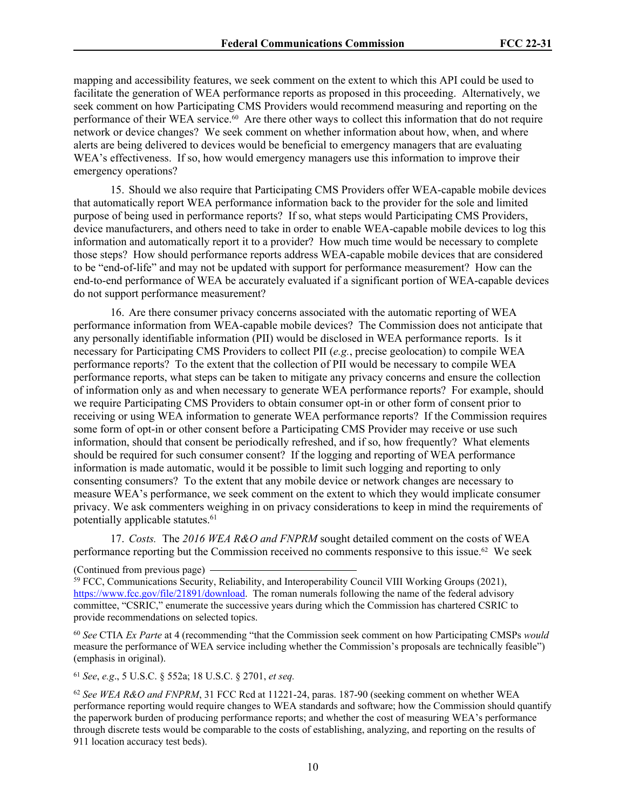mapping and accessibility features, we seek comment on the extent to which this API could be used to facilitate the generation of WEA performance reports as proposed in this proceeding. Alternatively, we seek comment on how Participating CMS Providers would recommend measuring and reporting on the performance of their WEA service.<sup>60</sup> Are there other ways to collect this information that do not require network or device changes? We seek comment on whether information about how, when, and where alerts are being delivered to devices would be beneficial to emergency managers that are evaluating WEA's effectiveness. If so, how would emergency managers use this information to improve their emergency operations?

15. Should we also require that Participating CMS Providers offer WEA-capable mobile devices that automatically report WEA performance information back to the provider for the sole and limited purpose of being used in performance reports? If so, what steps would Participating CMS Providers, device manufacturers, and others need to take in order to enable WEA-capable mobile devices to log this information and automatically report it to a provider? How much time would be necessary to complete those steps? How should performance reports address WEA-capable mobile devices that are considered to be "end-of-life" and may not be updated with support for performance measurement? How can the end-to-end performance of WEA be accurately evaluated if a significant portion of WEA-capable devices do not support performance measurement?

16. Are there consumer privacy concerns associated with the automatic reporting of WEA performance information from WEA-capable mobile devices? The Commission does not anticipate that any personally identifiable information (PII) would be disclosed in WEA performance reports. Is it necessary for Participating CMS Providers to collect PII (*e.g.*, precise geolocation) to compile WEA performance reports? To the extent that the collection of PII would be necessary to compile WEA performance reports, what steps can be taken to mitigate any privacy concerns and ensure the collection of information only as and when necessary to generate WEA performance reports? For example, should we require Participating CMS Providers to obtain consumer opt-in or other form of consent prior to receiving or using WEA information to generate WEA performance reports? If the Commission requires some form of opt-in or other consent before a Participating CMS Provider may receive or use such information, should that consent be periodically refreshed, and if so, how frequently? What elements should be required for such consumer consent? If the logging and reporting of WEA performance information is made automatic, would it be possible to limit such logging and reporting to only consenting consumers? To the extent that any mobile device or network changes are necessary to measure WEA's performance, we seek comment on the extent to which they would implicate consumer privacy. We ask commenters weighing in on privacy considerations to keep in mind the requirements of potentially applicable statutes.<sup>61</sup>

17. *Costs.* The *2016 WEA R&O and FNPRM* sought detailed comment on the costs of WEA performance reporting but the Commission received no comments responsive to this issue.62 We seek

<sup>60</sup> *See* CTIA *Ex Parte* at 4 (recommending "that the Commission seek comment on how Participating CMSPs *would*  measure the performance of WEA service including whether the Commission's proposals are technically feasible") (emphasis in original).

<sup>61</sup> *See*, *e.g*., 5 U.S.C. § 552a; 18 U.S.C. § 2701, *et seq.*

<sup>(</sup>Continued from previous page)

<sup>59</sup> FCC, Communications Security, Reliability, and Interoperability Council VIII Working Groups (2021), [https://www.fcc.gov/file/21891/download.](https://www.fcc.gov/file/21891/download) The roman numerals following the name of the federal advisory committee, "CSRIC," enumerate the successive years during which the Commission has chartered CSRIC to provide recommendations on selected topics.

<sup>62</sup> *See WEA R&O and FNPRM*, 31 FCC Rcd at 11221-24, paras. 187-90 (seeking comment on whether WEA performance reporting would require changes to WEA standards and software; how the Commission should quantify the paperwork burden of producing performance reports; and whether the cost of measuring WEA's performance through discrete tests would be comparable to the costs of establishing, analyzing, and reporting on the results of 911 location accuracy test beds).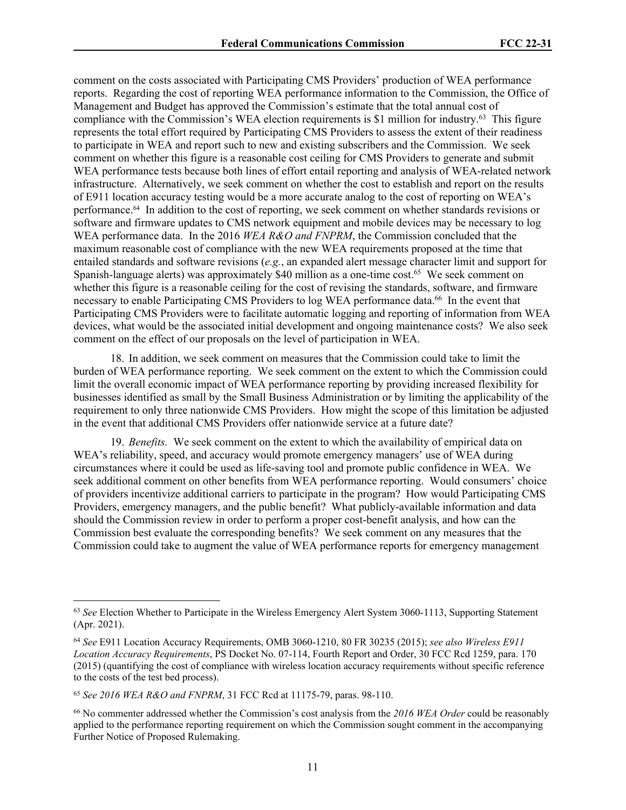comment on the costs associated with Participating CMS Providers' production of WEA performance reports. Regarding the cost of reporting WEA performance information to the Commission, the Office of Management and Budget has approved the Commission's estimate that the total annual cost of compliance with the Commission's WEA election requirements is \$1 million for industry.<sup>63</sup> This figure represents the total effort required by Participating CMS Providers to assess the extent of their readiness to participate in WEA and report such to new and existing subscribers and the Commission. We seek comment on whether this figure is a reasonable cost ceiling for CMS Providers to generate and submit WEA performance tests because both lines of effort entail reporting and analysis of WEA-related network infrastructure. Alternatively, we seek comment on whether the cost to establish and report on the results of E911 location accuracy testing would be a more accurate analog to the cost of reporting on WEA's performance.64 In addition to the cost of reporting, we seek comment on whether standards revisions or software and firmware updates to CMS network equipment and mobile devices may be necessary to log WEA performance data. In the 2016 *WEA R&O and FNPRM*, the Commission concluded that the maximum reasonable cost of compliance with the new WEA requirements proposed at the time that entailed standards and software revisions (*e.g.*, an expanded alert message character limit and support for Spanish-language alerts) was approximately \$40 million as a one-time cost.<sup>65</sup> We seek comment on whether this figure is a reasonable ceiling for the cost of revising the standards, software, and firmware necessary to enable Participating CMS Providers to log WEA performance data.<sup>66</sup> In the event that Participating CMS Providers were to facilitate automatic logging and reporting of information from WEA devices, what would be the associated initial development and ongoing maintenance costs? We also seek comment on the effect of our proposals on the level of participation in WEA.

18. In addition, we seek comment on measures that the Commission could take to limit the burden of WEA performance reporting. We seek comment on the extent to which the Commission could limit the overall economic impact of WEA performance reporting by providing increased flexibility for businesses identified as small by the Small Business Administration or by limiting the applicability of the requirement to only three nationwide CMS Providers. How might the scope of this limitation be adjusted in the event that additional CMS Providers offer nationwide service at a future date?

19. *Benefits.* We seek comment on the extent to which the availability of empirical data on WEA's reliability, speed, and accuracy would promote emergency managers' use of WEA during circumstances where it could be used as life-saving tool and promote public confidence in WEA. We seek additional comment on other benefits from WEA performance reporting. Would consumers' choice of providers incentivize additional carriers to participate in the program? How would Participating CMS Providers, emergency managers, and the public benefit? What publicly-available information and data should the Commission review in order to perform a proper cost-benefit analysis, and how can the Commission best evaluate the corresponding benefits? We seek comment on any measures that the Commission could take to augment the value of WEA performance reports for emergency management

<sup>63</sup> *See* Election Whether to Participate in the Wireless Emergency Alert System 3060-1113, Supporting Statement (Apr. 2021).

<sup>64</sup> *See* E911 Location Accuracy Requirements, OMB 3060-1210, 80 FR 30235 (2015); *see also Wireless E911 Location Accuracy Requirements*, PS Docket No. 07-114, Fourth Report and Order, 30 FCC Rcd 1259, para. 170 (2015) (quantifying the cost of compliance with wireless location accuracy requirements without specific reference to the costs of the test bed process).

<sup>65</sup> *See 2016 WEA R&O and FNPRM*, 31 FCC Rcd at 11175-79, paras. 98-110.

<sup>66</sup> No commenter addressed whether the Commission's cost analysis from the *2016 WEA Order* could be reasonably applied to the performance reporting requirement on which the Commission sought comment in the accompanying Further Notice of Proposed Rulemaking.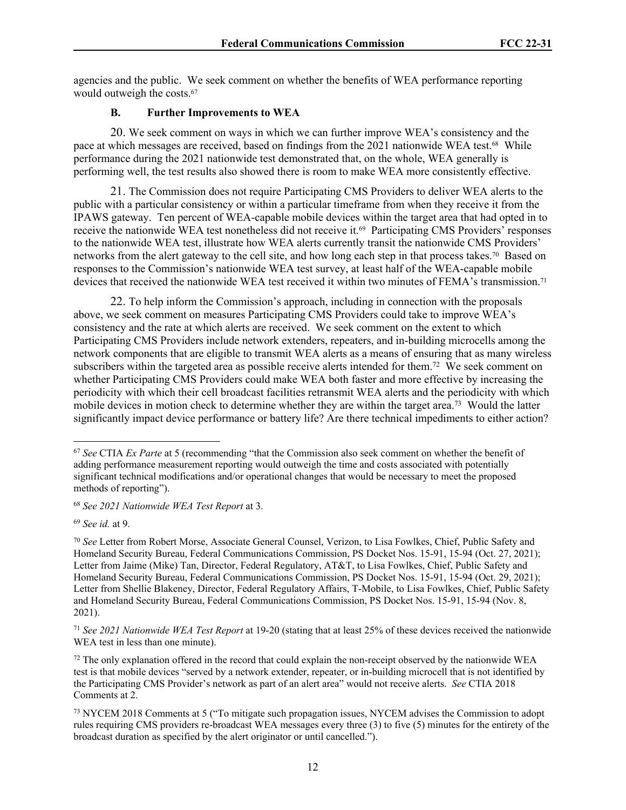agencies and the public. We seek comment on whether the benefits of WEA performance reporting would outweigh the costs.<sup>67</sup>

#### **B. Further Improvements to WEA**

20. We seek comment on ways in which we can further improve WEA's consistency and the pace at which messages are received, based on findings from the 2021 nationwide WEA test.68 While performance during the 2021 nationwide test demonstrated that, on the whole, WEA generally is performing well, the test results also showed there is room to make WEA more consistently effective.

21. The Commission does not require Participating CMS Providers to deliver WEA alerts to the public with a particular consistency or within a particular timeframe from when they receive it from the IPAWS gateway. Ten percent of WEA-capable mobile devices within the target area that had opted in to receive the nationwide WEA test nonetheless did not receive it.<sup>69</sup> Participating CMS Providers' responses to the nationwide WEA test, illustrate how WEA alerts currently transit the nationwide CMS Providers' networks from the alert gateway to the cell site, and how long each step in that process takes.70 Based on responses to the Commission's nationwide WEA test survey, at least half of the WEA-capable mobile devices that received the nationwide WEA test received it within two minutes of FEMA's transmission.<sup>71</sup>

22. To help inform the Commission's approach, including in connection with the proposals above, we seek comment on measures Participating CMS Providers could take to improve WEA's consistency and the rate at which alerts are received. We seek comment on the extent to which Participating CMS Providers include network extenders, repeaters, and in-building microcells among the network components that are eligible to transmit WEA alerts as a means of ensuring that as many wireless subscribers within the targeted area as possible receive alerts intended for them.<sup>72</sup> We seek comment on whether Participating CMS Providers could make WEA both faster and more effective by increasing the periodicity with which their cell broadcast facilities retransmit WEA alerts and the periodicity with which mobile devices in motion check to determine whether they are within the target area.<sup>73</sup> Would the latter significantly impact device performance or battery life? Are there technical impediments to either action?

<sup>68</sup> *See 2021 Nationwide WEA Test Report* at 3.

<sup>69</sup> *See id.* at 9.

<sup>71</sup> *See 2021 Nationwide WEA Test Report* at 19-20 (stating that at least 25% of these devices received the nationwide WEA test in less than one minute).

<sup>72</sup> The only explanation offered in the record that could explain the non-receipt observed by the nationwide WEA test is that mobile devices "served by a network extender, repeater, or in-building microcell that is not identified by the Participating CMS Provider's network as part of an alert area" would not receive alerts. *See* CTIA 2018 Comments at 2.

<sup>73</sup> NYCEM 2018 Comments at 5 ("To mitigate such propagation issues, NYCEM advises the Commission to adopt rules requiring CMS providers re-broadcast WEA messages every three (3) to five (5) minutes for the entirety of the broadcast duration as specified by the alert originator or until cancelled.").

<sup>67</sup> *See* CTIA *Ex Parte* at 5 (recommending "that the Commission also seek comment on whether the benefit of adding performance measurement reporting would outweigh the time and costs associated with potentially significant technical modifications and/or operational changes that would be necessary to meet the proposed methods of reporting").

<sup>70</sup> *See* Letter from Robert Morse, Associate General Counsel, Verizon, to Lisa Fowlkes, Chief, Public Safety and Homeland Security Bureau, Federal Communications Commission, PS Docket Nos. 15-91, 15-94 (Oct. 27, 2021); Letter from Jaime (Mike) Tan, Director, Federal Regulatory, AT&T, to Lisa Fowlkes, Chief, Public Safety and Homeland Security Bureau, Federal Communications Commission, PS Docket Nos. 15-91, 15-94 (Oct. 29, 2021); Letter from Shellie Blakeney, Director, Federal Regulatory Affairs, T-Mobile, to Lisa Fowlkes, Chief, Public Safety and Homeland Security Bureau, Federal Communications Commission, PS Docket Nos. 15-91, 15-94 (Nov. 8, 2021).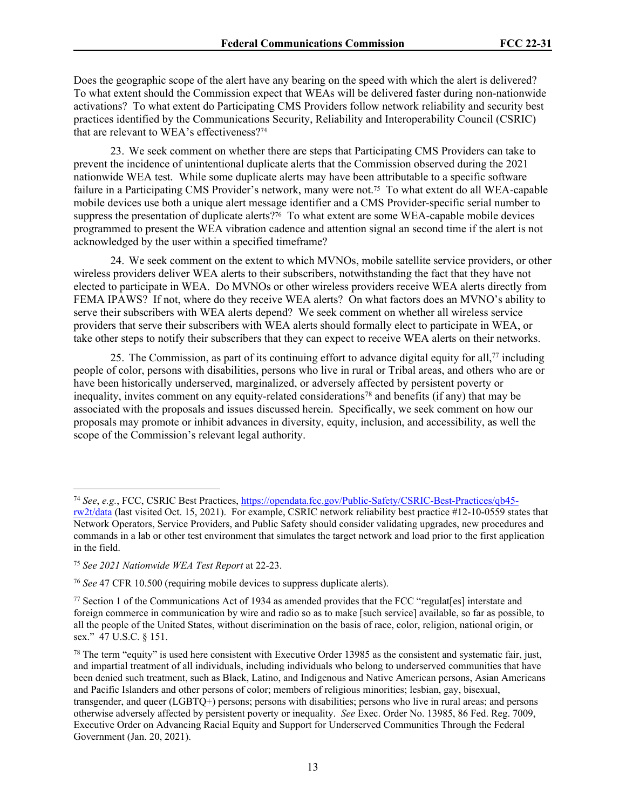Does the geographic scope of the alert have any bearing on the speed with which the alert is delivered? To what extent should the Commission expect that WEAs will be delivered faster during non-nationwide activations? To what extent do Participating CMS Providers follow network reliability and security best practices identified by the Communications Security, Reliability and Interoperability Council (CSRIC) that are relevant to WEA's effectiveness?<sup>74</sup>

23. We seek comment on whether there are steps that Participating CMS Providers can take to prevent the incidence of unintentional duplicate alerts that the Commission observed during the 2021 nationwide WEA test. While some duplicate alerts may have been attributable to a specific software failure in a Participating CMS Provider's network, many were not.75 To what extent do all WEA-capable mobile devices use both a unique alert message identifier and a CMS Provider-specific serial number to suppress the presentation of duplicate alerts?<sup>76</sup> To what extent are some WEA-capable mobile devices programmed to present the WEA vibration cadence and attention signal an second time if the alert is not acknowledged by the user within a specified timeframe?

24. We seek comment on the extent to which MVNOs, mobile satellite service providers, or other wireless providers deliver WEA alerts to their subscribers, notwithstanding the fact that they have not elected to participate in WEA. Do MVNOs or other wireless providers receive WEA alerts directly from FEMA IPAWS? If not, where do they receive WEA alerts? On what factors does an MVNO's ability to serve their subscribers with WEA alerts depend? We seek comment on whether all wireless service providers that serve their subscribers with WEA alerts should formally elect to participate in WEA, or take other steps to notify their subscribers that they can expect to receive WEA alerts on their networks.

25. The Commission, as part of its continuing effort to advance digital equity for all, $77$  including people of color, persons with disabilities, persons who live in rural or Tribal areas, and others who are or have been historically underserved, marginalized, or adversely affected by persistent poverty or inequality, invites comment on any equity-related considerations<sup>78</sup> and benefits (if any) that may be associated with the proposals and issues discussed herein. Specifically, we seek comment on how our proposals may promote or inhibit advances in diversity, equity, inclusion, and accessibility, as well the scope of the Commission's relevant legal authority.

<sup>74</sup> *See*, *e.g.*, FCC, CSRIC Best Practices, [https://opendata.fcc.gov/Public-Safety/CSRIC-Best-Practices/qb45](https://opendata.fcc.gov/Public-Safety/CSRIC-Best-Practices/qb45-rw2t/data) [rw2t/data](https://opendata.fcc.gov/Public-Safety/CSRIC-Best-Practices/qb45-rw2t/data) (last visited Oct. 15, 2021). For example, CSRIC network reliability best practice #12-10-0559 states that Network Operators, Service Providers, and Public Safety should consider validating upgrades, new procedures and commands in a lab or other test environment that simulates the target network and load prior to the first application in the field.

<sup>75</sup> *See 2021 Nationwide WEA Test Report* at 22-23.

<sup>76</sup> *See* 47 CFR 10.500 (requiring mobile devices to suppress duplicate alerts).

<sup>77</sup> Section 1 of the Communications Act of 1934 as amended provides that the FCC "regulat[es] interstate and foreign commerce in communication by wire and radio so as to make [such service] available, so far as possible, to all the people of the United States, without discrimination on the basis of race, color, religion, national origin, or sex." 47 U.S.C. § 151.

<sup>&</sup>lt;sup>78</sup> The term "equity" is used here consistent with Executive Order 13985 as the consistent and systematic fair, just, and impartial treatment of all individuals, including individuals who belong to underserved communities that have been denied such treatment, such as Black, Latino, and Indigenous and Native American persons, Asian Americans and Pacific Islanders and other persons of color; members of religious minorities; lesbian, gay, bisexual, transgender, and queer (LGBTQ+) persons; persons with disabilities; persons who live in rural areas; and persons otherwise adversely affected by persistent poverty or inequality. *See* Exec. Order No. 13985, 86 Fed. Reg. 7009, Executive Order on Advancing Racial Equity and Support for Underserved Communities Through the Federal Government (Jan. 20, 2021).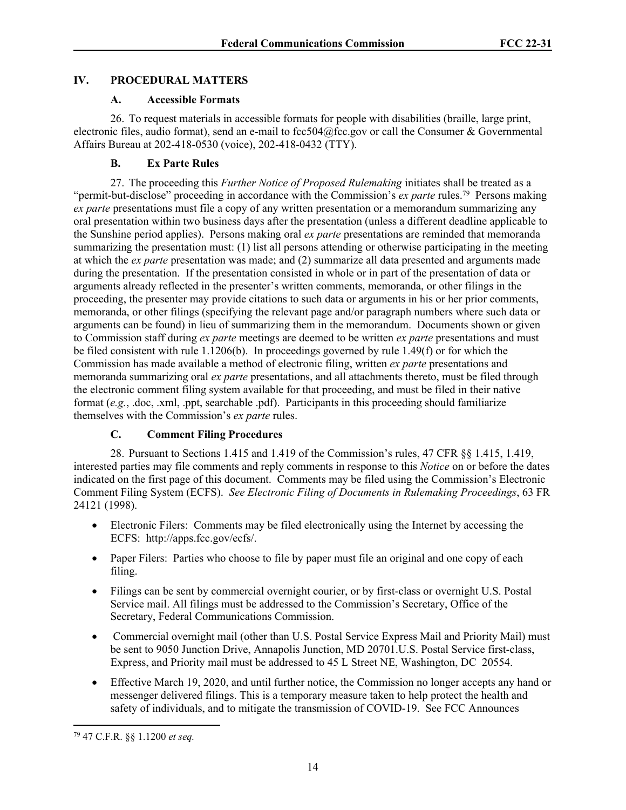# **IV. PROCEDURAL MATTERS**

#### **A. Accessible Formats**

26. To request materials in accessible formats for people with disabilities (braille, large print, electronic files, audio format), send an e-mail to fcc504@fcc.gov or call the Consumer & Governmental Affairs Bureau at 202-418-0530 (voice), 202-418-0432 (TTY).

# **B. Ex Parte Rules**

27. The proceeding this *Further Notice of Proposed Rulemaking* initiates shall be treated as a "permit-but-disclose" proceeding in accordance with the Commission's *ex parte* rules.<sup>79</sup> Persons making *ex parte* presentations must file a copy of any written presentation or a memorandum summarizing any oral presentation within two business days after the presentation (unless a different deadline applicable to the Sunshine period applies). Persons making oral *ex parte* presentations are reminded that memoranda summarizing the presentation must: (1) list all persons attending or otherwise participating in the meeting at which the *ex parte* presentation was made; and (2) summarize all data presented and arguments made during the presentation. If the presentation consisted in whole or in part of the presentation of data or arguments already reflected in the presenter's written comments, memoranda, or other filings in the proceeding, the presenter may provide citations to such data or arguments in his or her prior comments, memoranda, or other filings (specifying the relevant page and/or paragraph numbers where such data or arguments can be found) in lieu of summarizing them in the memorandum. Documents shown or given to Commission staff during *ex parte* meetings are deemed to be written *ex parte* presentations and must be filed consistent with rule 1.1206(b). In proceedings governed by rule 1.49(f) or for which the Commission has made available a method of electronic filing, written *ex parte* presentations and memoranda summarizing oral *ex parte* presentations, and all attachments thereto, must be filed through the electronic comment filing system available for that proceeding, and must be filed in their native format (*e.g.*, .doc, .xml, .ppt, searchable .pdf). Participants in this proceeding should familiarize themselves with the Commission's *ex parte* rules.

# **C. Comment Filing Procedures**

28. Pursuant to Sections 1.415 and 1.419 of the Commission's rules, 47 CFR §§ 1.415, 1.419, interested parties may file comments and reply comments in response to this *Notice* on or before the dates indicated on the first page of this document. Comments may be filed using the Commission's Electronic Comment Filing System (ECFS). *See Electronic Filing of Documents in Rulemaking Proceedings*, 63 FR 24121 (1998).

- Electronic Filers: Comments may be filed electronically using the Internet by accessing the ECFS: http://apps.fcc.gov/ecfs/.
- Paper Filers: Parties who choose to file by paper must file an original and one copy of each filing.
- Filings can be sent by commercial overnight courier, or by first-class or overnight U.S. Postal Service mail. All filings must be addressed to the Commission's Secretary, Office of the Secretary, Federal Communications Commission.
- Commercial overnight mail (other than U.S. Postal Service Express Mail and Priority Mail) must be sent to 9050 Junction Drive, Annapolis Junction, MD 20701.U.S. Postal Service first-class, Express, and Priority mail must be addressed to 45 L Street NE, Washington, DC 20554.
- Effective March 19, 2020, and until further notice, the Commission no longer accepts any hand or messenger delivered filings. This is a temporary measure taken to help protect the health and safety of individuals, and to mitigate the transmission of COVID-19. See FCC Announces

<sup>79</sup> 47 C.F.R. §§ 1.1200 *et seq.*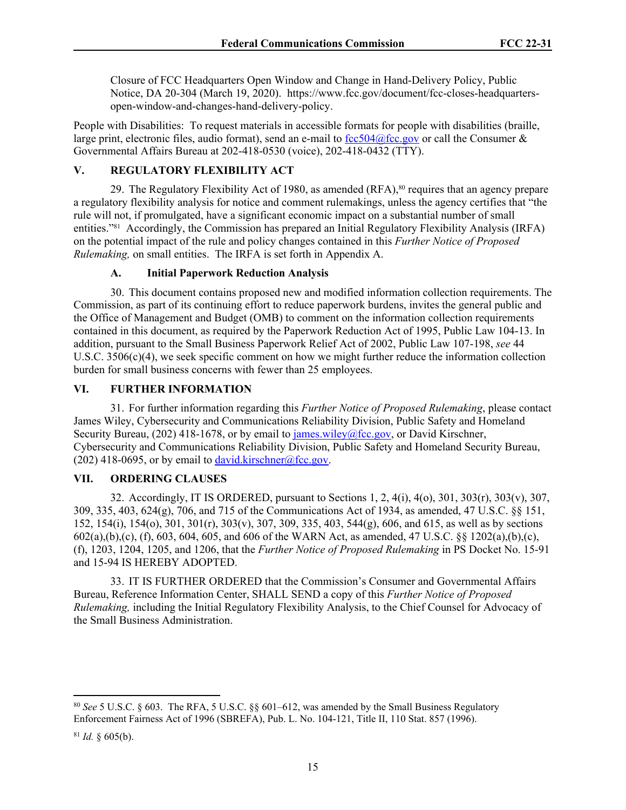Closure of FCC Headquarters Open Window and Change in Hand-Delivery Policy, Public Notice, DA 20-304 (March 19, 2020). [https://www.fcc.gov/document/fcc-closes-headquarters](https://www.fcc.gov/document/fcc-closes-headquarters-open-window-and-changes-hand-delivery-policy)[open-window-and-changes-hand-delivery-policy](https://www.fcc.gov/document/fcc-closes-headquarters-open-window-and-changes-hand-delivery-policy).

People with Disabilities: To request materials in accessible formats for people with disabilities (braille, large print, electronic files, audio format), send an e-mail to  $fcc504@$  fcc.gov or call the Consumer & Governmental Affairs Bureau at 202-418-0530 (voice), 202-418-0432 (TTY).

# **V. REGULATORY FLEXIBILITY ACT**

29. The Regulatory Flexibility Act of 1980, as amended  $(RFA)$ ,<sup>80</sup> requires that an agency prepare a regulatory flexibility analysis for notice and comment rulemakings, unless the agency certifies that "the rule will not, if promulgated, have a significant economic impact on a substantial number of small entities."81 Accordingly, the Commission has prepared an Initial Regulatory Flexibility Analysis (IRFA) on the potential impact of the rule and policy changes contained in this *Further Notice of Proposed Rulemaking,* on small entities. The IRFA is set forth in Appendix A.

# **A. Initial Paperwork Reduction Analysis**

30. This document contains proposed new and modified information collection requirements. The Commission, as part of its continuing effort to reduce paperwork burdens, invites the general public and the Office of Management and Budget (OMB) to comment on the information collection requirements contained in this document, as required by the Paperwork Reduction Act of 1995, Public Law 104-13. In addition, pursuant to the Small Business Paperwork Relief Act of 2002, Public Law 107-198, *see* 44 U.S.C. 3506(c)(4), we seek specific comment on how we might further reduce the information collection burden for small business concerns with fewer than 25 employees.

# **VI. FURTHER INFORMATION**

31. For further information regarding this *Further Notice of Proposed Rulemaking*, please contact James Wiley, Cybersecurity and Communications Reliability Division, Public Safety and Homeland Security Bureau, (202) 418-1678, or by email to [james.wiley@fcc.gov,](mailto:james.wiley@fcc.gov) or David Kirschner, Cybersecurity and Communications Reliability Division, Public Safety and Homeland Security Bureau, (202) 418-0695, or by email to [david.kirschner@fcc.gov](mailto:david.kirschner@fcc.gov).

# **VII. ORDERING CLAUSES**

32. Accordingly, IT IS ORDERED, pursuant to Sections 1, 2, 4(i), 4(o), 301, 303(r), 303(v), 307, 309, 335, 403, 624(g), 706, and 715 of the Communications Act of 1934, as amended, 47 U.S.C. §§ 151, 152, 154(i), 154(o), 301, 301(r), 303(v), 307, 309, 335, 403, 544(g), 606, and 615, as well as by sections 602(a),(b),(c), (f), 603, 604, 605, and 606 of the WARN Act, as amended, 47 U.S.C. §§ 1202(a),(b),(c), (f), 1203, 1204, 1205, and 1206, that the *Further Notice of Proposed Rulemaking* in PS Docket No. 15-91 and 15-94 IS HEREBY ADOPTED.

33. IT IS FURTHER ORDERED that the Commission's Consumer and Governmental Affairs Bureau, Reference Information Center, SHALL SEND a copy of this *Further Notice of Proposed Rulemaking,* including the Initial Regulatory Flexibility Analysis, to the Chief Counsel for Advocacy of the Small Business Administration.

<sup>80</sup> *See* 5 U.S.C. § 603. The RFA, 5 U.S.C. §§ 601–612, was amended by the Small Business Regulatory Enforcement Fairness Act of 1996 (SBREFA), Pub. L. No. 104-121, Title II, 110 Stat. 857 (1996).

 $81$  *Id.* § 605(b).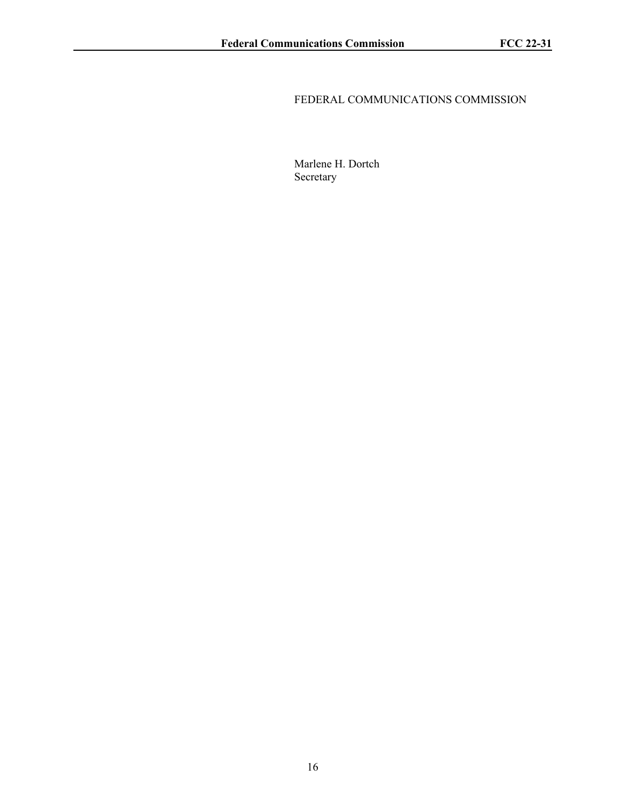# FEDERAL COMMUNICATIONS COMMISSION

Marlene H. Dortch Secretary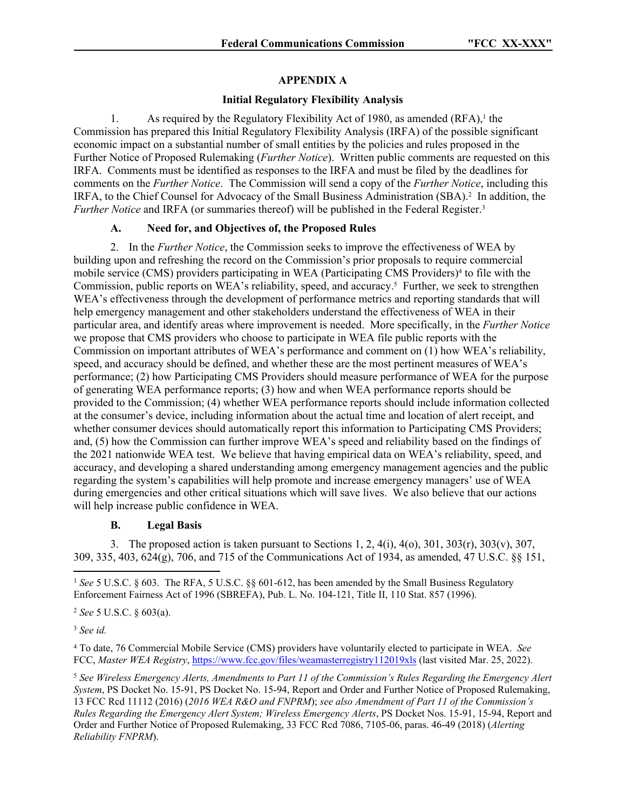# **APPENDIX A**

### **Initial Regulatory Flexibility Analysis**

1. As required by the Regulatory Flexibility Act of 1980, as amended  $(RFA)$ ,<sup>1</sup> the Commission has prepared this Initial Regulatory Flexibility Analysis (IRFA) of the possible significant economic impact on a substantial number of small entities by the policies and rules proposed in the Further Notice of Proposed Rulemaking (*Further Notice*). Written public comments are requested on this IRFA. Comments must be identified as responses to the IRFA and must be filed by the deadlines for comments on the *Further Notice*. The Commission will send a copy of the *Further Notice*, including this IRFA, to the Chief Counsel for Advocacy of the Small Business Administration (SBA).<sup>2</sup> In addition, the *Further Notice* and IRFA (or summaries thereof) will be published in the Federal Register.<sup>3</sup>

# **A. Need for, and Objectives of, the Proposed Rules**

2. In the *Further Notice*, the Commission seeks to improve the effectiveness of WEA by building upon and refreshing the record on the Commission's prior proposals to require commercial mobile service (CMS) providers participating in WEA (Participating CMS Providers)<sup>4</sup> to file with the Commission, public reports on WEA's reliability, speed, and accuracy.<sup>5</sup> Further, we seek to strengthen WEA's effectiveness through the development of performance metrics and reporting standards that will help emergency management and other stakeholders understand the effectiveness of WEA in their particular area, and identify areas where improvement is needed. More specifically, in the *Further Notice*  we propose that CMS providers who choose to participate in WEA file public reports with the Commission on important attributes of WEA's performance and comment on (1) how WEA's reliability, speed, and accuracy should be defined, and whether these are the most pertinent measures of WEA's performance; (2) how Participating CMS Providers should measure performance of WEA for the purpose of generating WEA performance reports; (3) how and when WEA performance reports should be provided to the Commission; (4) whether WEA performance reports should include information collected at the consumer's device, including information about the actual time and location of alert receipt, and whether consumer devices should automatically report this information to Participating CMS Providers; and, (5) how the Commission can further improve WEA's speed and reliability based on the findings of the 2021 nationwide WEA test. We believe that having empirical data on WEA's reliability, speed, and accuracy, and developing a shared understanding among emergency management agencies and the public regarding the system's capabilities will help promote and increase emergency managers' use of WEA during emergencies and other critical situations which will save lives. We also believe that our actions will help increase public confidence in WEA.

#### **B. Legal Basis**

3. The proposed action is taken pursuant to Sections 1, 2,  $4(i)$ ,  $4(0)$ ,  $301$ ,  $303(r)$ ,  $303(v)$ ,  $307$ , 309, 335, 403, 624(g), 706, and 715 of the Communications Act of 1934, as amended, 47 U.S.C. §§ 151,

<sup>2</sup> *See* 5 U.S.C. § 603(a).

<sup>3</sup> *See id.*

4 To date, 76 Commercial Mobile Service (CMS) providers have voluntarily elected to participate in WEA. *See* FCC, *Master WEA Registry*,<https://www.fcc.gov/files/weamasterregistry112019xls>(last visited Mar. 25, 2022).

<sup>5</sup> *See Wireless Emergency Alerts, Amendments to Part 11 of the Commission's Rules Regarding the Emergency Alert System*, PS Docket No. 15-91, PS Docket No. 15-94, Report and Order and Further Notice of Proposed Rulemaking, 13 FCC Rcd 11112 (2016) (*2016 WEA R&O and FNPRM*); *see also Amendment of Part 11 of the Commission's Rules Regarding the Emergency Alert System; Wireless Emergency Alerts*, PS Docket Nos. 15-91, 15-94, Report and Order and Further Notice of Proposed Rulemaking, 33 FCC Rcd 7086, 7105-06, paras. 46-49 (2018) (*Alerting Reliability FNPRM*).

<sup>1</sup> *See* 5 U.S.C. § 603. The RFA, 5 U.S.C. §§ 601-612, has been amended by the Small Business Regulatory Enforcement Fairness Act of 1996 (SBREFA), Pub. L. No. 104-121, Title II, 110 Stat. 857 (1996).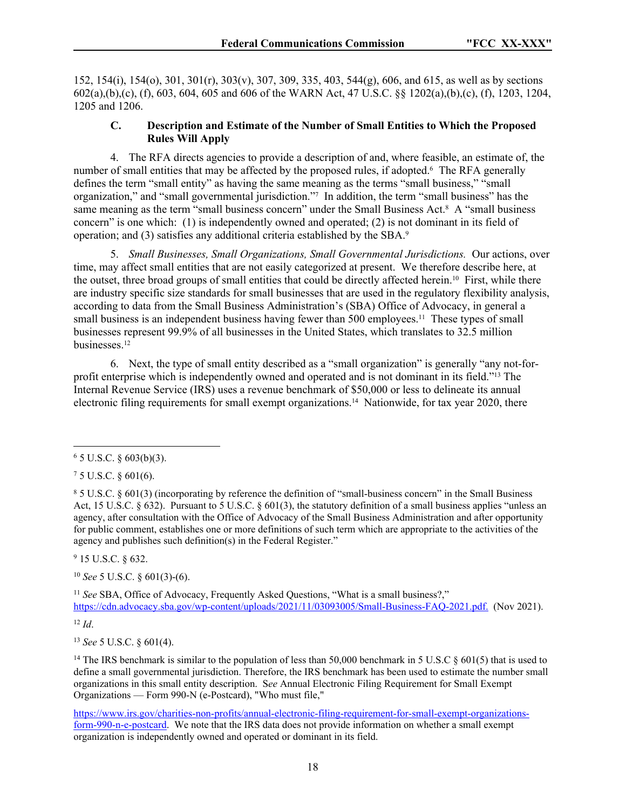152, 154(i), 154(o), 301, 301(r), 303(v), 307, 309, 335, 403, 544(g), 606, and 615, as well as by sections 602(a),(b),(c), (f), 603, 604, 605 and 606 of the WARN Act, 47 U.S.C. §§ 1202(a),(b),(c), (f), 1203, 1204, 1205 and 1206.

#### **C. Description and Estimate of the Number of Small Entities to Which the Proposed Rules Will Apply**

4. The RFA directs agencies to provide a description of and, where feasible, an estimate of, the number of small entities that may be affected by the proposed rules, if adopted.<sup>6</sup> The RFA generally defines the term "small entity" as having the same meaning as the terms "small business," "small organization," and "small governmental jurisdiction."<sup>7</sup> In addition, the term "small business" has the same meaning as the term "small business concern" under the Small Business Act.<sup>8</sup> A "small business concern" is one which: (1) is independently owned and operated; (2) is not dominant in its field of operation; and (3) satisfies any additional criteria established by the SBA.<sup>9</sup>

5. *Small Businesses, Small Organizations, Small Governmental Jurisdictions.* Our actions, over time, may affect small entities that are not easily categorized at present. We therefore describe here, at the outset, three broad groups of small entities that could be directly affected herein.10 First, while there are industry specific size standards for small businesses that are used in the regulatory flexibility analysis, according to data from the Small Business Administration's (SBA) Office of Advocacy, in general a small business is an independent business having fewer than 500 employees.<sup>11</sup> These types of small businesses represent 99.9% of all businesses in the United States, which translates to 32.5 million businesses.<sup>12</sup>

6. Next, the type of small entity described as a "small organization" is generally "any not-forprofit enterprise which is independently owned and operated and is not dominant in its field."13 The Internal Revenue Service (IRS) uses a revenue benchmark of \$50,000 or less to delineate its annual electronic filing requirements for small exempt organizations.14 Nationwide, for tax year 2020, there

7 5 U.S.C. § 601(6).

9 15 U.S.C. § 632.

<sup>10</sup> *See* 5 U.S.C. § 601(3)-(6).

<sup>11</sup> *See* SBA, Office of Advocacy, Frequently Asked Questions, "What is a small business?," <https://cdn.advocacy.sba.gov/wp-content/uploads/2021/11/03093005/Small-Business-FAQ-2021.pdf>. (Nov 2021).

 $12 \, \text{Id}$ 

<sup>13</sup> *See* 5 U.S.C. § 601(4).

<sup>14</sup> The IRS benchmark is similar to the population of less than 50,000 benchmark in 5 U.S.C  $\S$  601(5) that is used to define a small governmental jurisdiction. Therefore, the IRS benchmark has been used to estimate the number small organizations in this small entity description. S*ee* Annual Electronic Filing Requirement for Small Exempt Organizations — Form 990-N (e-Postcard), "Who must file,"

[https://www.irs.gov/charities-non-profits/annual-electronic-filing-requirement-for-small-exempt-organizations](https://www.irs.gov/charities-non-profits/annual-electronic-filing-requirement-for-small-exempt-organizations-form-990-n-e-postcard)[form-990-n-e-postcard](https://www.irs.gov/charities-non-profits/annual-electronic-filing-requirement-for-small-exempt-organizations-form-990-n-e-postcard). We note that the IRS data does not provide information on whether a small exempt organization is independently owned and operated or dominant in its field.

 $6$  5 U.S.C. § 603(b)(3).

<sup>8</sup> 5 U.S.C. § 601(3) (incorporating by reference the definition of "small-business concern" in the Small Business Act, 15 U.S.C. § 632). Pursuant to 5 U.S.C. § 601(3), the statutory definition of a small business applies "unless an agency, after consultation with the Office of Advocacy of the Small Business Administration and after opportunity for public comment, establishes one or more definitions of such term which are appropriate to the activities of the agency and publishes such definition(s) in the Federal Register."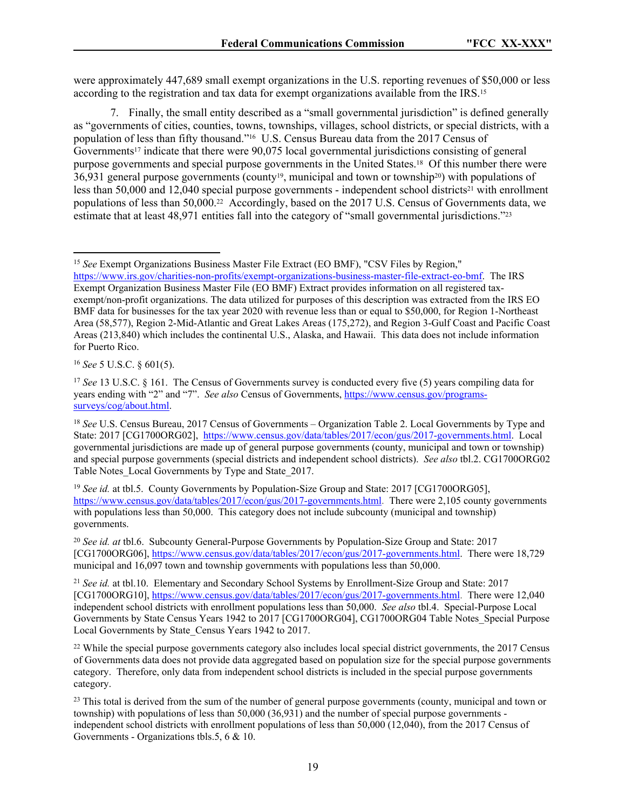were approximately 447,689 small exempt organizations in the U.S. reporting revenues of \$50,000 or less according to the registration and tax data for exempt organizations available from the IRS.<sup>15</sup>

7. Finally, the small entity described as a "small governmental jurisdiction" is defined generally as "governments of cities, counties, towns, townships, villages, school districts, or special districts, with a population of less than fifty thousand."16 U.S. Census Bureau data from the 2017 Census of Governments<sup>17</sup> indicate that there were 90,075 local governmental jurisdictions consisting of general purpose governments and special purpose governments in the United States.18 Of this number there were  $36,931$  general purpose governments (county<sup>19</sup>, municipal and town or township<sup>20</sup>) with populations of less than 50,000 and 12,040 special purpose governments - independent school districts<sup>21</sup> with enrollment populations of less than 50,000.22 Accordingly, based on the 2017 U.S. Census of Governments data, we estimate that at least 48,971 entities fall into the category of "small governmental jurisdictions."<sup>23</sup>

<sup>16</sup> *See* 5 U.S.C. § 601(5).

<sup>15</sup> *See* Exempt Organizations Business Master File Extract (EO BMF), "CSV Files by Region,"

[https://www.irs.gov/charities-non-profits/exempt-organizations-business-master-file-extract-eo-bmf.](https://www.irs.gov/charities-non-profits/exempt-organizations-business-master-file-extract-eo-bmf) The IRS Exempt Organization Business Master File (EO BMF) Extract provides information on all registered taxexempt/non-profit organizations. The data utilized for purposes of this description was extracted from the IRS EO BMF data for businesses for the tax year 2020 with revenue less than or equal to \$50,000, for Region 1-Northeast Area (58,577), Region 2-Mid-Atlantic and Great Lakes Areas (175,272), and Region 3-Gulf Coast and Pacific Coast Areas (213,840) which includes the continental U.S., Alaska, and Hawaii. This data does not include information for Puerto Rico.

<sup>&</sup>lt;sup>17</sup> *See* 13 U.S.C. § 161. The Census of Governments survey is conducted every five (5) years compiling data for years ending with "2" and "7". *See also* Census of Governments, [https://www.census.gov/programs](https://www.census.gov/programs-surveys/cog/about.html)[surveys/cog/about.html.](https://www.census.gov/programs-surveys/cog/about.html)

<sup>18</sup> *See* U.S. Census Bureau, 2017 Census of Governments – Organization Table 2. Local Governments by Type and State: 2017 [CG1700ORG02], <https://www.census.gov/data/tables/2017/econ/gus/2017-governments.html>. Local governmental jurisdictions are made up of general purpose governments (county, municipal and town or township) and special purpose governments (special districts and independent school districts). *See also* tbl.2. CG1700ORG02 Table Notes\_Local Governments by Type and State\_2017.

<sup>&</sup>lt;sup>19</sup> See id. at tbl.5. County Governments by Population-Size Group and State: 2017 [CG1700ORG05], <https://www.census.gov/data/tables/2017/econ/gus/2017-governments.html>. There were 2,105 county governments with populations less than 50,000. This category does not include subcounty (municipal and township) governments.

<sup>20</sup> *See id. at* tbl.6. Subcounty General-Purpose Governments by Population-Size Group and State: 2017 [CG1700ORG06], <https://www.census.gov/data/tables/2017/econ/gus/2017-governments.html>. There were 18,729 municipal and 16,097 town and township governments with populations less than 50,000.

<sup>21</sup> *See id.* at tbl.10. Elementary and Secondary School Systems by Enrollment-Size Group and State: 2017 [CG1700ORG10], <https://www.census.gov/data/tables/2017/econ/gus/2017-governments.html>. There were 12,040 independent school districts with enrollment populations less than 50,000. *See also* tbl.4. Special-Purpose Local Governments by State Census Years 1942 to 2017 [CG1700ORG04], CG1700ORG04 Table Notes\_Special Purpose Local Governments by State Census Years 1942 to 2017.

<sup>&</sup>lt;sup>22</sup> While the special purpose governments category also includes local special district governments, the 2017 Census of Governments data does not provide data aggregated based on population size for the special purpose governments category. Therefore, only data from independent school districts is included in the special purpose governments category.

<sup>&</sup>lt;sup>23</sup> This total is derived from the sum of the number of general purpose governments (county, municipal and town or township) with populations of less than 50,000 (36,931) and the number of special purpose governments independent school districts with enrollment populations of less than 50,000 (12,040), from the 2017 Census of Governments - Organizations tbls.5, 6 & 10.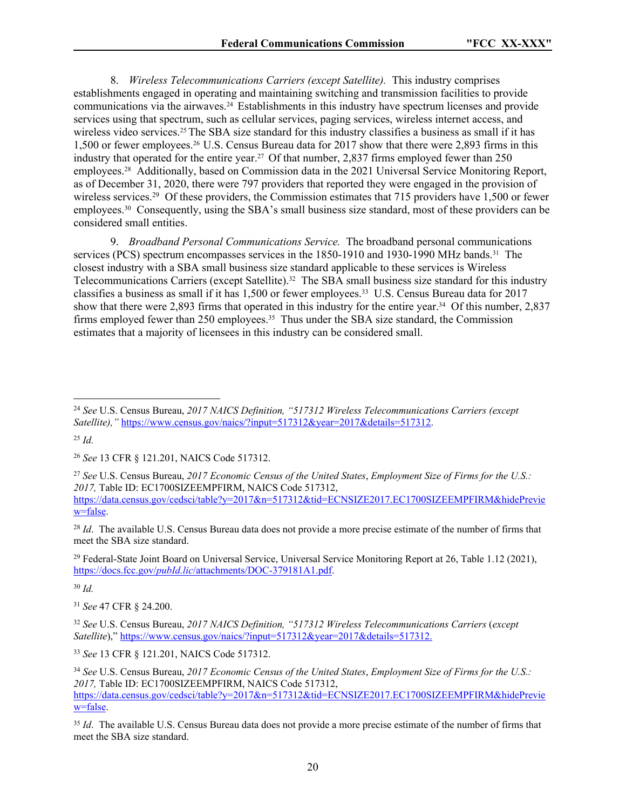8. *Wireless Telecommunications Carriers (except Satellite).* This industry comprises establishments engaged in operating and maintaining switching and transmission facilities to provide communications via the airwaves.24 Establishments in this industry have spectrum licenses and provide services using that spectrum, such as cellular services, paging services, wireless internet access, and wireless video services.<sup>25</sup> The SBA size standard for this industry classifies a business as small if it has 1,500 or fewer employees.26 U.S. Census Bureau data for 2017 show that there were 2,893 firms in this industry that operated for the entire year.<sup>27</sup> Of that number, 2,837 firms employed fewer than 250 employees.28 Additionally, based on Commission data in the 2021 Universal Service Monitoring Report, as of December 31, 2020, there were 797 providers that reported they were engaged in the provision of wireless services.<sup>29</sup> Of these providers, the Commission estimates that 715 providers have 1,500 or fewer employees.30 Consequently, using the SBA's small business size standard, most of these providers can be considered small entities.

9. *Broadband Personal Communications Service.* The broadband personal communications services (PCS) spectrum encompasses services in the 1850-1910 and 1930-1990 MHz bands.<sup>31</sup> The closest industry with a SBA small business size standard applicable to these services is Wireless Telecommunications Carriers (except Satellite).<sup>32</sup> The SBA small business size standard for this industry classifies a business as small if it has 1,500 or fewer employees.33 U.S. Census Bureau data for 2017 show that there were 2,893 firms that operated in this industry for the entire year.34 Of this number, 2,837 firms employed fewer than 250 employees.<sup>35</sup> Thus under the SBA size standard, the Commission estimates that a majority of licensees in this industry can be considered small.

<sup>25</sup> *Id.*

<sup>28</sup> *Id.* The available U.S. Census Bureau data does not provide a more precise estimate of the number of firms that meet the SBA size standard.

<sup>29</sup> Federal-State Joint Board on Universal Service, Universal Service Monitoring Report at 26, Table 1.12 (2021), https://docs.fcc.gov/*pubId.lic*[/attachments/DOC-379181A1.pdf.](https://docs.fcc.gov/public/attachments/DOC-379181A1.pdf)

<sup>30</sup> *Id.*

<sup>31</sup> *See* 47 CFR § 24.200.

<sup>33</sup> *See* 13 CFR § 121.201, NAICS Code 517312.

<sup>24</sup> *See* U.S. Census Bureau, *2017 NAICS Definition, "517312 Wireless Telecommunications Carriers (except Satellite),"* [https://www.census.gov/naics/?input=517312&year=2017&details=517312.](https://www.census.gov/naics/?input=517312&year=2017&details=517312)

<sup>26</sup> *See* 13 CFR § 121.201, NAICS Code 517312.

<sup>27</sup> *See* U.S. Census Bureau, *2017 Economic Census of the United States*, *Employment Size of Firms for the U.S.: 2017,* Table ID: EC1700SIZEEMPFIRM, NAICS Code 517312, [https://data.census.gov/cedsci/table?y=2017&n=517312&tid=ECNSIZE2017.EC1700SIZEEMPFIRM&hidePrevie](https://data.census.gov/cedsci/table?y=2017&n=517312&tid=ECNSIZE2017.EC1700SIZEEMPFIRM&hidePreview=false) [w=false.](https://data.census.gov/cedsci/table?y=2017&n=517312&tid=ECNSIZE2017.EC1700SIZEEMPFIRM&hidePreview=false)

<sup>32</sup> *See* U.S. Census Bureau, *2017 NAICS Definition, "517312 Wireless Telecommunications Carriers* (*except Satellite*)," [https://www.census.gov/naics/?input=517312&year=2017&details=517312.](https://www.census.gov/naics/?input=517312&year=2017&details=517312)

<sup>34</sup> *See* U.S. Census Bureau, *2017 Economic Census of the United States*, *Employment Size of Firms for the U.S.: 2017,* Table ID: EC1700SIZEEMPFIRM, NAICS Code 517312, [https://data.census.gov/cedsci/table?y=2017&n=517312&tid=ECNSIZE2017.EC1700SIZEEMPFIRM&hidePrevie](https://data.census.gov/cedsci/table?y=2017&n=517312&tid=ECNSIZE2017.EC1700SIZEEMPFIRM&hidePreview=false) [w=false.](https://data.census.gov/cedsci/table?y=2017&n=517312&tid=ECNSIZE2017.EC1700SIZEEMPFIRM&hidePreview=false)

<sup>&</sup>lt;sup>35</sup> *Id*. The available U.S. Census Bureau data does not provide a more precise estimate of the number of firms that meet the SBA size standard.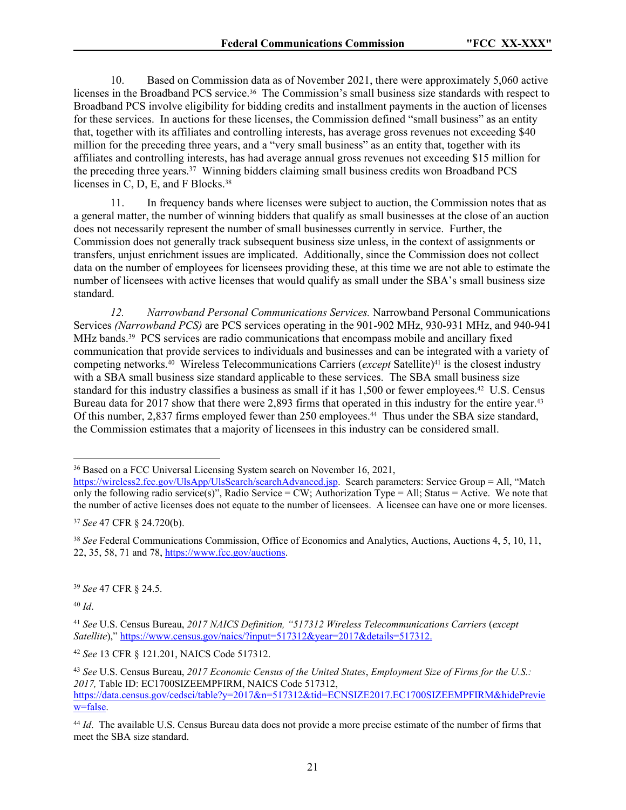10. Based on Commission data as of November 2021, there were approximately 5,060 active licenses in the Broadband PCS service.36 The Commission's small business size standards with respect to Broadband PCS involve eligibility for bidding credits and installment payments in the auction of licenses for these services. In auctions for these licenses, the Commission defined "small business" as an entity that, together with its affiliates and controlling interests, has average gross revenues not exceeding \$40 million for the preceding three years, and a "very small business" as an entity that, together with its affiliates and controlling interests, has had average annual gross revenues not exceeding \$15 million for the preceding three years.<sup>37</sup> Winning bidders claiming small business credits won Broadband PCS licenses in C, D, E, and F Blocks.<sup>38</sup>

11. In frequency bands where licenses were subject to auction, the Commission notes that as a general matter, the number of winning bidders that qualify as small businesses at the close of an auction does not necessarily represent the number of small businesses currently in service. Further, the Commission does not generally track subsequent business size unless, in the context of assignments or transfers, unjust enrichment issues are implicated. Additionally, since the Commission does not collect data on the number of employees for licensees providing these, at this time we are not able to estimate the number of licensees with active licenses that would qualify as small under the SBA's small business size standard.

*12. Narrowband Personal Communications Services.* Narrowband Personal Communications Services *(Narrowband PCS)* are PCS services operating in the 901-902 MHz, 930-931 MHz, and 940-941 MHz bands.39 PCS services are radio communications that encompass mobile and ancillary fixed communication that provide services to individuals and businesses and can be integrated with a variety of competing networks.<sup>40</sup> Wireless Telecommunications Carriers (*except* Satellite)<sup>41</sup> is the closest industry with a SBA small business size standard applicable to these services. The SBA small business size standard for this industry classifies a business as small if it has 1,500 or fewer employees.<sup>42</sup> U.S. Census Bureau data for 2017 show that there were 2,893 firms that operated in this industry for the entire year.<sup>43</sup> Of this number, 2,837 firms employed fewer than 250 employees.<sup>44</sup> Thus under the SBA size standard, the Commission estimates that a majority of licensees in this industry can be considered small.

<sup>39</sup> *See* 47 CFR § 24.5.

<sup>40</sup> *Id*.

<sup>42</sup> *See* 13 CFR § 121.201, NAICS Code 517312.

<sup>36</sup> Based on a FCC Universal Licensing System search on November 16, 2021,

[https://wireless2.fcc.gov/UlsApp/UlsSearch/searchAdvanced.jsp.](https://wireless2.fcc.gov/UlsApp/UlsSearch/searchAdvanced.jsp) Search parameters: Service Group = All, "Match only the following radio service(s)", Radio Service = CW; Authorization Type = All; Status = Active. We note that the number of active licenses does not equate to the number of licensees. A licensee can have one or more licenses.

<sup>37</sup> *See* 47 CFR § 24.720(b).

<sup>38</sup> *See* Federal Communications Commission, Office of Economics and Analytics, Auctions, Auctions 4, 5, 10, 11, 22, 35, 58, 71 and 78,<https://www.fcc.gov/auctions>.

<sup>41</sup> *See* U.S. Census Bureau, *2017 NAICS Definition, "517312 Wireless Telecommunications Carriers* (*except Satellite*)," [https://www.census.gov/naics/?input=517312&year=2017&details=517312.](https://www.census.gov/naics/?input=517312&year=2017&details=517312)

<sup>43</sup> *See* U.S. Census Bureau, *2017 Economic Census of the United States*, *Employment Size of Firms for the U.S.: 2017,* Table ID: EC1700SIZEEMPFIRM, NAICS Code 517312, [https://data.census.gov/cedsci/table?y=2017&n=517312&tid=ECNSIZE2017.EC1700SIZEEMPFIRM&hidePrevie](https://data.census.gov/cedsci/table?y=2017&n=517312&tid=ECNSIZE2017.EC1700SIZEEMPFIRM&hidePreview=false) [w=false.](https://data.census.gov/cedsci/table?y=2017&n=517312&tid=ECNSIZE2017.EC1700SIZEEMPFIRM&hidePreview=false)

<sup>44</sup> *Id*. The available U.S. Census Bureau data does not provide a more precise estimate of the number of firms that meet the SBA size standard.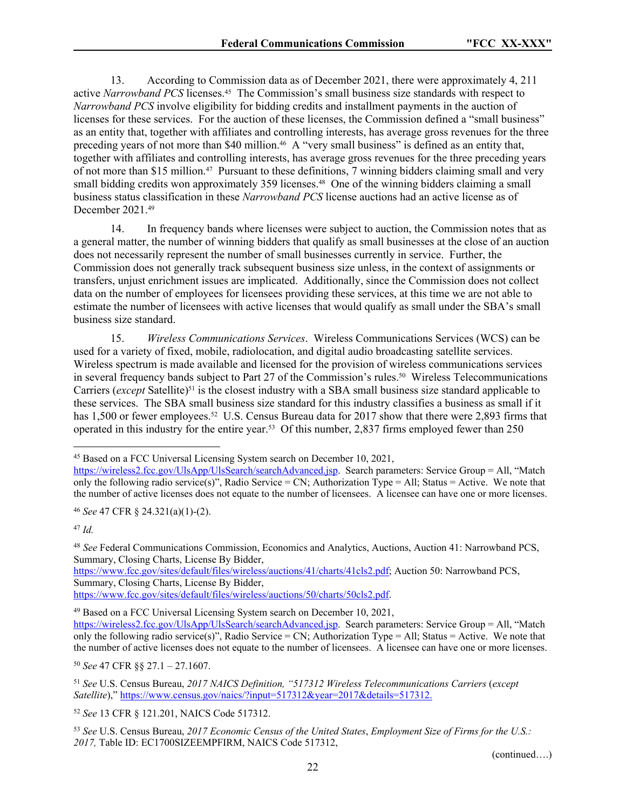13. According to Commission data as of December 2021, there were approximately 4, 211 active *Narrowband PCS* licenses.45 The Commission's small business size standards with respect to *Narrowband PCS* involve eligibility for bidding credits and installment payments in the auction of licenses for these services. For the auction of these licenses, the Commission defined a "small business" as an entity that, together with affiliates and controlling interests, has average gross revenues for the three preceding years of not more than \$40 million.46 A "very small business" is defined as an entity that, together with affiliates and controlling interests, has average gross revenues for the three preceding years of not more than \$15 million.47 Pursuant to these definitions, 7 winning bidders claiming small and very small bidding credits won approximately 359 licenses.<sup>48</sup> One of the winning bidders claiming a small business status classification in these *Narrowband PCS* license auctions had an active license as of December 2021.<sup>49</sup>

14. In frequency bands where licenses were subject to auction, the Commission notes that as a general matter, the number of winning bidders that qualify as small businesses at the close of an auction does not necessarily represent the number of small businesses currently in service. Further, the Commission does not generally track subsequent business size unless, in the context of assignments or transfers, unjust enrichment issues are implicated. Additionally, since the Commission does not collect data on the number of employees for licensees providing these services, at this time we are not able to estimate the number of licensees with active licenses that would qualify as small under the SBA's small business size standard.

15. *Wireless Communications Services*. Wireless Communications Services (WCS) can be used for a variety of fixed, mobile, radiolocation, and digital audio broadcasting satellite services. Wireless spectrum is made available and licensed for the provision of wireless communications services in several frequency bands subject to Part 27 of the Commission's rules.<sup>50</sup> Wireless Telecommunications Carriers (*except* Satellite)<sup>51</sup> is the closest industry with a SBA small business size standard applicable to these services. The SBA small business size standard for this industry classifies a business as small if it has 1,500 or fewer employees.<sup>52</sup> U.S. Census Bureau data for 2017 show that there were 2,893 firms that operated in this industry for the entire year.53 Of this number, 2,837 firms employed fewer than 250

<sup>46</sup> *See* 47 CFR § 24.321(a)(1)-(2).

<sup>47</sup> *Id.*

<sup>48</sup> *See* Federal Communications Commission, Economics and Analytics, Auctions, Auction 41: Narrowband PCS, Summary, Closing Charts, License By Bidder,

[https://www.fcc.gov/sites/default/files/wireless/auctions/41/charts/41cls2.pdf;](https://www.fcc.gov/sites/default/files/wireless/auctions/41/charts/41cls2.pdf) Auction 50: Narrowband PCS, Summary, Closing Charts, License By Bidder,

[https://www.fcc.gov/sites/default/files/wireless/auctions/50/charts/50cls2.pdf.](https://www.fcc.gov/sites/default/files/wireless/auctions/50/charts/50cls2.pdf)

<sup>49</sup> Based on a FCC Universal Licensing System search on December 10, 2021,

<sup>50</sup> *See* 47 CFR §§ 27.1 – 27.1607.

<sup>52</sup> *See* 13 CFR § 121.201, NAICS Code 517312.

(continued….)

<sup>45</sup> Based on a FCC Universal Licensing System search on December 10, 2021,

[https://wireless2.fcc.gov/UlsApp/UlsSearch/searchAdvanced.jsp.](https://wireless2.fcc.gov/UlsApp/UlsSearch/searchAdvanced.jsp) Search parameters: Service Group = All, "Match only the following radio service(s)", Radio Service = CN; Authorization Type = All; Status = Active. We note that the number of active licenses does not equate to the number of licensees. A licensee can have one or more licenses.

[https://wireless2.fcc.gov/UlsApp/UlsSearch/searchAdvanced.jsp.](https://wireless2.fcc.gov/UlsApp/UlsSearch/searchAdvanced.jsp) Search parameters: Service Group = All, "Match only the following radio service(s)", Radio Service = CN; Authorization Type = All; Status = Active. We note that the number of active licenses does not equate to the number of licensees. A licensee can have one or more licenses.

<sup>51</sup> *See* U.S. Census Bureau, *2017 NAICS Definition, "517312 Wireless Telecommunications Carriers* (*except Satellite*)," [https://www.census.gov/naics/?input=517312&year=2017&details=517312.](https://www.census.gov/naics/?input=517312&year=2017&details=517312)

<sup>53</sup> *See* U.S. Census Bureau, *2017 Economic Census of the United States*, *Employment Size of Firms for the U.S.: 2017,* Table ID: EC1700SIZEEMPFIRM, NAICS Code 517312,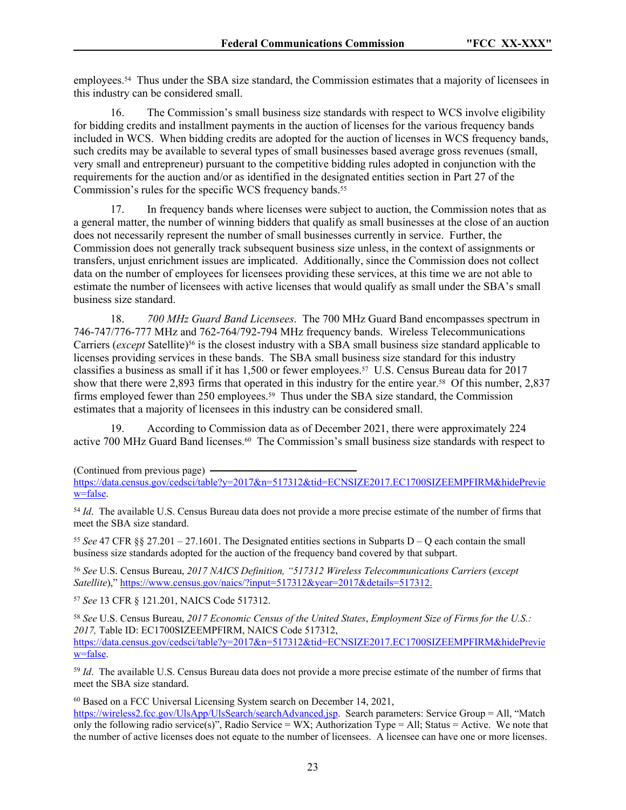employees.54 Thus under the SBA size standard, the Commission estimates that a majority of licensees in this industry can be considered small.

16. The Commission's small business size standards with respect to WCS involve eligibility for bidding credits and installment payments in the auction of licenses for the various frequency bands included in WCS. When bidding credits are adopted for the auction of licenses in WCS frequency bands, such credits may be available to several types of small businesses based average gross revenues (small, very small and entrepreneur) pursuant to the competitive bidding rules adopted in conjunction with the requirements for the auction and/or as identified in the designated entities section in Part 27 of the Commission's rules for the specific WCS frequency bands.<sup>55</sup>

17. In frequency bands where licenses were subject to auction, the Commission notes that as a general matter, the number of winning bidders that qualify as small businesses at the close of an auction does not necessarily represent the number of small businesses currently in service. Further, the Commission does not generally track subsequent business size unless, in the context of assignments or transfers, unjust enrichment issues are implicated. Additionally, since the Commission does not collect data on the number of employees for licensees providing these services, at this time we are not able to estimate the number of licensees with active licenses that would qualify as small under the SBA's small business size standard.

18. *700 MHz Guard Band Licensees*. The 700 MHz Guard Band encompasses spectrum in 746-747/776-777 MHz and 762-764/792-794 MHz frequency bands. Wireless Telecommunications Carriers (*except* Satellite)<sup>56</sup> is the closest industry with a SBA small business size standard applicable to licenses providing services in these bands. The SBA small business size standard for this industry classifies a business as small if it has 1,500 or fewer employees.57 U.S. Census Bureau data for 2017 show that there were 2,893 firms that operated in this industry for the entire year.<sup>58</sup> Of this number, 2,837 firms employed fewer than 250 employees.<sup>59</sup> Thus under the SBA size standard, the Commission estimates that a majority of licensees in this industry can be considered small.

19. According to Commission data as of December 2021, there were approximately 224 active 700 MHz Guard Band licenses.<sup>60</sup> The Commission's small business size standards with respect to

[https://data.census.gov/cedsci/table?y=2017&n=517312&tid=ECNSIZE2017.EC1700SIZEEMPFIRM&hidePrevie](https://data.census.gov/cedsci/table?y=2017&n=517312&tid=ECNSIZE2017.EC1700SIZEEMPFIRM&hidePreview=false) [w=false.](https://data.census.gov/cedsci/table?y=2017&n=517312&tid=ECNSIZE2017.EC1700SIZEEMPFIRM&hidePreview=false)

<sup>54</sup> *Id*. The available U.S. Census Bureau data does not provide a more precise estimate of the number of firms that meet the SBA size standard.

<sup>55</sup> *See* 47 CFR §§ 27.201 – 27.1601. The Designated entities sections in Subparts D – Q each contain the small business size standards adopted for the auction of the frequency band covered by that subpart.

<sup>56</sup> *See* U.S. Census Bureau, *2017 NAICS Definition, "517312 Wireless Telecommunications Carriers* (*except Satellite*)," [https://www.census.gov/naics/?input=517312&year=2017&details=517312.](https://www.census.gov/naics/?input=517312&year=2017&details=517312)

<sup>57</sup> *See* 13 CFR § 121.201, NAICS Code 517312.

<sup>58</sup> *See* U.S. Census Bureau, *2017 Economic Census of the United States*, *Employment Size of Firms for the U.S.: 2017,* Table ID: EC1700SIZEEMPFIRM, NAICS Code 517312, [https://data.census.gov/cedsci/table?y=2017&n=517312&tid=ECNSIZE2017.EC1700SIZEEMPFIRM&hidePrevie](https://data.census.gov/cedsci/table?y=2017&n=517312&tid=ECNSIZE2017.EC1700SIZEEMPFIRM&hidePreview=false) [w=false.](https://data.census.gov/cedsci/table?y=2017&n=517312&tid=ECNSIZE2017.EC1700SIZEEMPFIRM&hidePreview=false)

<sup>59</sup> *Id*. The available U.S. Census Bureau data does not provide a more precise estimate of the number of firms that meet the SBA size standard.

<sup>60</sup> Based on a FCC Universal Licensing System search on December 14, 2021,

[https://wireless2.fcc.gov/UlsApp/UlsSearch/searchAdvanced.jsp.](https://wireless2.fcc.gov/UlsApp/UlsSearch/searchAdvanced.jsp) Search parameters: Service Group = All, "Match only the following radio service(s)", Radio Service = WX; Authorization Type = All; Status = Active. We note that the number of active licenses does not equate to the number of licensees. A licensee can have one or more licenses.

<sup>(</sup>Continued from previous page)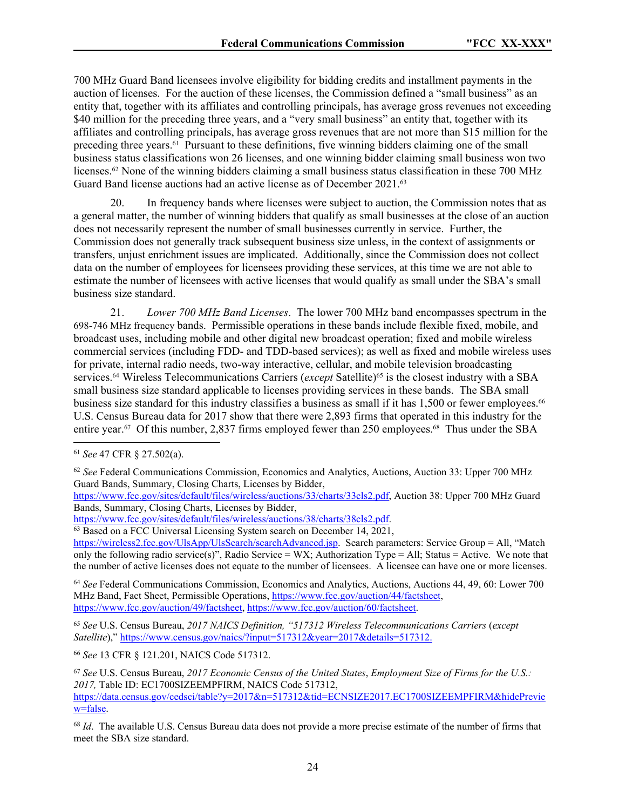700 MHz Guard Band licensees involve eligibility for bidding credits and installment payments in the auction of licenses. For the auction of these licenses, the Commission defined a "small business" as an entity that, together with its affiliates and controlling principals, has average gross revenues not exceeding \$40 million for the preceding three years, and a "very small business" an entity that, together with its affiliates and controlling principals, has average gross revenues that are not more than \$15 million for the preceding three years.61 Pursuant to these definitions, five winning bidders claiming one of the small business status classifications won 26 licenses, and one winning bidder claiming small business won two licenses.62 None of the winning bidders claiming a small business status classification in these 700 MHz Guard Band license auctions had an active license as of December 2021.<sup>63</sup>

20. In frequency bands where licenses were subject to auction, the Commission notes that as a general matter, the number of winning bidders that qualify as small businesses at the close of an auction does not necessarily represent the number of small businesses currently in service. Further, the Commission does not generally track subsequent business size unless, in the context of assignments or transfers, unjust enrichment issues are implicated. Additionally, since the Commission does not collect data on the number of employees for licensees providing these services, at this time we are not able to estimate the number of licensees with active licenses that would qualify as small under the SBA's small business size standard.

21. *Lower 700 MHz Band Licenses*. The lower 700 MHz band encompasses spectrum in the 698-746 MHz frequency bands. Permissible operations in these bands include flexible fixed, mobile, and broadcast uses, including mobile and other digital new broadcast operation; fixed and mobile wireless commercial services (including FDD- and TDD-based services); as well as fixed and mobile wireless uses for private, internal radio needs, two-way interactive, cellular, and mobile television broadcasting services.<sup>64</sup> Wireless Telecommunications Carriers (*except* Satellite)<sup>65</sup> is the closest industry with a SBA small business size standard applicable to licenses providing services in these bands. The SBA small business size standard for this industry classifies a business as small if it has 1,500 or fewer employees.<sup>66</sup> U.S. Census Bureau data for 2017 show that there were 2,893 firms that operated in this industry for the entire year.<sup>67</sup> Of this number, 2,837 firms employed fewer than 250 employees.<sup>68</sup> Thus under the SBA

[https://www.fcc.gov/sites/default/files/wireless/auctions/33/charts/33cls2.pdf,](https://www.fcc.gov/sites/default/files/wireless/auctions/33/charts/33cls2.pdf) Auction 38: Upper 700 MHz Guard Bands, Summary, Closing Charts, Licenses by Bidder,

[https://www.fcc.gov/sites/default/files/wireless/auctions/38/charts/38cls2.pdf.](https://www.fcc.gov/sites/default/files/wireless/auctions/38/charts/38cls2.pdf)

 $63$  Based on a FCC Universal Licensing System search on December 14, 2021,

[https://wireless2.fcc.gov/UlsApp/UlsSearch/searchAdvanced.jsp.](https://wireless2.fcc.gov/UlsApp/UlsSearch/searchAdvanced.jsp) Search parameters: Service Group = All, "Match only the following radio service(s)", Radio Service = WX; Authorization Type = All; Status = Active. We note that the number of active licenses does not equate to the number of licensees. A licensee can have one or more licenses.

<sup>64</sup> *See* Federal Communications Commission, Economics and Analytics, Auctions, Auctions 44, 49, 60: Lower 700 MHz Band, Fact Sheet, Permissible Operations,<https://www.fcc.gov/auction/44/factsheet>, [https://www.fcc.gov/auction/49/factsheet,](https://www.fcc.gov/auction/49/factsheet) [https://www.fcc.gov/auction/60/factsheet.](https://www.fcc.gov/auction/60/factsheet)

<sup>65</sup> *See* U.S. Census Bureau, *2017 NAICS Definition, "517312 Wireless Telecommunications Carriers* (*except Satellite*)," [https://www.census.gov/naics/?input=517312&year=2017&details=517312.](https://www.census.gov/naics/?input=517312&year=2017&details=517312)

<sup>66</sup> *See* 13 CFR § 121.201, NAICS Code 517312.

<sup>67</sup> *See* U.S. Census Bureau, *2017 Economic Census of the United States*, *Employment Size of Firms for the U.S.: 2017,* Table ID: EC1700SIZEEMPFIRM, NAICS Code 517312, [https://data.census.gov/cedsci/table?y=2017&n=517312&tid=ECNSIZE2017.EC1700SIZEEMPFIRM&hidePrevie](https://data.census.gov/cedsci/table?y=2017&n=517312&tid=ECNSIZE2017.EC1700SIZEEMPFIRM&hidePreview=false) [w=false.](https://data.census.gov/cedsci/table?y=2017&n=517312&tid=ECNSIZE2017.EC1700SIZEEMPFIRM&hidePreview=false)

<sup>68</sup> *Id*. The available U.S. Census Bureau data does not provide a more precise estimate of the number of firms that meet the SBA size standard.

<sup>61</sup> *See* 47 CFR § 27.502(a).

<sup>62</sup> *See* Federal Communications Commission, Economics and Analytics, Auctions, Auction 33: Upper 700 MHz Guard Bands, Summary, Closing Charts, Licenses by Bidder,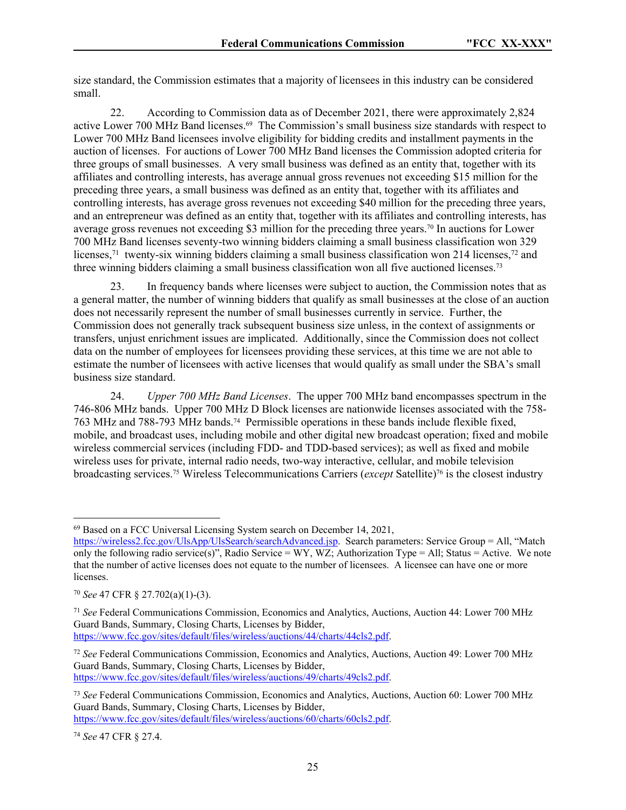size standard, the Commission estimates that a majority of licensees in this industry can be considered small.

22. According to Commission data as of December 2021, there were approximately 2,824 active Lower 700 MHz Band licenses.<sup>69</sup> The Commission's small business size standards with respect to Lower 700 MHz Band licensees involve eligibility for bidding credits and installment payments in the auction of licenses. For auctions of Lower 700 MHz Band licenses the Commission adopted criteria for three groups of small businesses. A very small business was defined as an entity that, together with its affiliates and controlling interests, has average annual gross revenues not exceeding \$15 million for the preceding three years, a small business was defined as an entity that, together with its affiliates and controlling interests, has average gross revenues not exceeding \$40 million for the preceding three years, and an entrepreneur was defined as an entity that, together with its affiliates and controlling interests, has average gross revenues not exceeding \$3 million for the preceding three years.70 In auctions for Lower 700 MHz Band licenses seventy-two winning bidders claiming a small business classification won 329 licenses,<sup>71</sup> twenty-six winning bidders claiming a small business classification won 214 licenses,<sup>72</sup> and three winning bidders claiming a small business classification won all five auctioned licenses.<sup>73</sup>

23. In frequency bands where licenses were subject to auction, the Commission notes that as a general matter, the number of winning bidders that qualify as small businesses at the close of an auction does not necessarily represent the number of small businesses currently in service. Further, the Commission does not generally track subsequent business size unless, in the context of assignments or transfers, unjust enrichment issues are implicated. Additionally, since the Commission does not collect data on the number of employees for licensees providing these services, at this time we are not able to estimate the number of licensees with active licenses that would qualify as small under the SBA's small business size standard.

24. *Upper 700 MHz Band Licenses*. The upper 700 MHz band encompasses spectrum in the 746-806 MHz bands. Upper 700 MHz D Block licenses are nationwide licenses associated with the 758- 763 MHz and 788-793 MHz bands.<sup>74</sup> Permissible operations in these bands include flexible fixed, mobile, and broadcast uses, including mobile and other digital new broadcast operation; fixed and mobile wireless commercial services (including FDD- and TDD-based services); as well as fixed and mobile wireless uses for private, internal radio needs, two-way interactive, cellular, and mobile television broadcasting services.75 Wireless Telecommunications Carriers (*except* Satellite)76 is the closest industry

<sup>69</sup> Based on a FCC Universal Licensing System search on December 14, 2021,

[https://wireless2.fcc.gov/UlsApp/UlsSearch/searchAdvanced.jsp.](https://wireless2.fcc.gov/UlsApp/UlsSearch/searchAdvanced.jsp) Search parameters: Service Group = All, "Match only the following radio service(s)", Radio Service = WY, WZ; Authorization Type = All; Status = Active. We note that the number of active licenses does not equate to the number of licensees. A licensee can have one or more licenses.

<sup>70</sup> *See* 47 CFR § 27.702(a)(1)-(3).

<sup>71</sup> *See* Federal Communications Commission, Economics and Analytics, Auctions, Auction 44: Lower 700 MHz Guard Bands, Summary, Closing Charts, Licenses by Bidder, [https://www.fcc.gov/sites/default/files/wireless/auctions/44/charts/44cls2.pdf.](https://www.fcc.gov/sites/default/files/wireless/auctions/44/charts/44cls2.pdf)

<sup>72</sup> *See* Federal Communications Commission, Economics and Analytics, Auctions, Auction 49: Lower 700 MHz Guard Bands, Summary, Closing Charts, Licenses by Bidder, [https://www.fcc.gov/sites/default/files/wireless/auctions/49/charts/49cls2.pdf.](https://www.fcc.gov/sites/default/files/wireless/auctions/49/charts/49cls2.pdf)

<sup>73</sup> *See* Federal Communications Commission, Economics and Analytics, Auctions, Auction 60: Lower 700 MHz Guard Bands, Summary, Closing Charts, Licenses by Bidder, [https://www.fcc.gov/sites/default/files/wireless/auctions/60/charts/60cls2.pdf.](https://www.fcc.gov/sites/default/files/wireless/auctions/60/charts/60cls2.pdf)

<sup>74</sup> *See* 47 CFR § 27.4.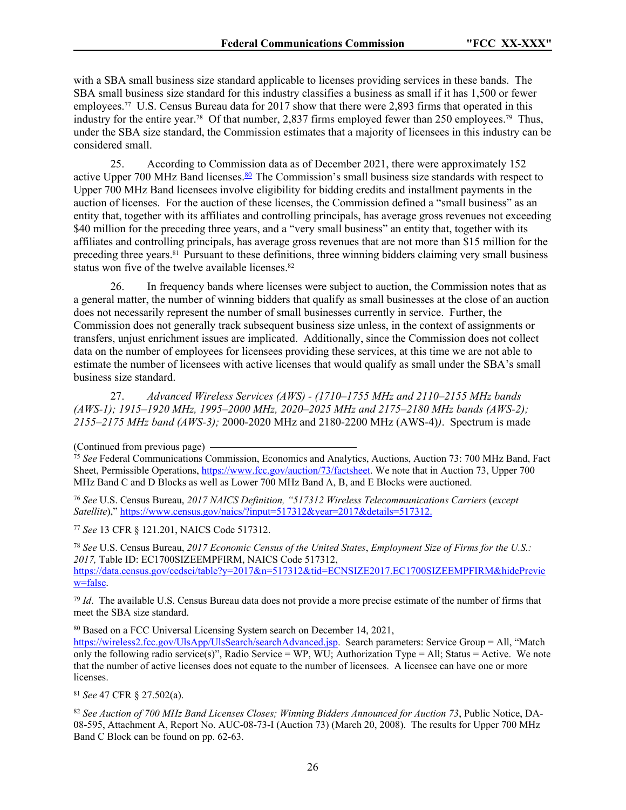with a SBA small business size standard applicable to licenses providing services in these bands. The SBA small business size standard for this industry classifies a business as small if it has 1,500 or fewer employees.<sup>77</sup> U.S. Census Bureau data for 2017 show that there were 2,893 firms that operated in this industry for the entire year.<sup>78</sup> Of that number, 2,837 firms employed fewer than 250 employees.<sup>79</sup> Thus, under the SBA size standard, the Commission estimates that a majority of licensees in this industry can be considered small.

25. According to Commission data as of December 2021, there were approximately 152 active Upper 700 MHz Band licenses. $80$  The Commission's small business size standards with respect to Upper 700 MHz Band licensees involve eligibility for bidding credits and installment payments in the auction of licenses. For the auction of these licenses, the Commission defined a "small business" as an entity that, together with its affiliates and controlling principals, has average gross revenues not exceeding \$40 million for the preceding three years, and a "very small business" an entity that, together with its affiliates and controlling principals, has average gross revenues that are not more than \$15 million for the preceding three years.81 Pursuant to these definitions, three winning bidders claiming very small business status won five of the twelve available licenses.<sup>82</sup>

26. In frequency bands where licenses were subject to auction, the Commission notes that as a general matter, the number of winning bidders that qualify as small businesses at the close of an auction does not necessarily represent the number of small businesses currently in service. Further, the Commission does not generally track subsequent business size unless, in the context of assignments or transfers, unjust enrichment issues are implicated. Additionally, since the Commission does not collect data on the number of employees for licensees providing these services, at this time we are not able to estimate the number of licensees with active licenses that would qualify as small under the SBA's small business size standard.

27. *Advanced Wireless Services (AWS) - (1710–1755 MHz and 2110–2155 MHz bands (AWS-1); 1915–1920 MHz, 1995–2000 MHz, 2020–2025 MHz and 2175–2180 MHz bands (AWS-2); 2155–2175 MHz band (AWS-3);* 2000-2020 MHz and 2180-2200 MHz (AWS-4)*)*. Spectrum is made

<sup>75</sup> See Federal Communications Commission, Economics and Analytics, Auctions, Auction 73: 700 MHz Band, Fact Sheet, Permissible Operations,<https://www.fcc.gov/auction/73/factsheet>. We note that in Auction 73, Upper 700 MHz Band C and D Blocks as well as Lower 700 MHz Band A, B, and E Blocks were auctioned.

<sup>76</sup> *See* U.S. Census Bureau, *2017 NAICS Definition, "517312 Wireless Telecommunications Carriers* (*except Satellite*)," [https://www.census.gov/naics/?input=517312&year=2017&details=517312.](https://www.census.gov/naics/?input=517312&year=2017&details=517312)

<sup>77</sup> *See* 13 CFR § 121.201, NAICS Code 517312.

<sup>78</sup> *See* U.S. Census Bureau, *2017 Economic Census of the United States*, *Employment Size of Firms for the U.S.: 2017,* Table ID: EC1700SIZEEMPFIRM, NAICS Code 517312, [https://data.census.gov/cedsci/table?y=2017&n=517312&tid=ECNSIZE2017.EC1700SIZEEMPFIRM&hidePrevie](https://data.census.gov/cedsci/table?y=2017&n=517312&tid=ECNSIZE2017.EC1700SIZEEMPFIRM&hidePreview=false) [w=false.](https://data.census.gov/cedsci/table?y=2017&n=517312&tid=ECNSIZE2017.EC1700SIZEEMPFIRM&hidePreview=false)

<sup>79</sup> *Id*. The available U.S. Census Bureau data does not provide a more precise estimate of the number of firms that meet the SBA size standard.

<sup>80</sup> Based on a FCC Universal Licensing System search on December 14, 2021,

[https://wireless2.fcc.gov/UlsApp/UlsSearch/searchAdvanced.jsp.](https://wireless2.fcc.gov/UlsApp/UlsSearch/searchAdvanced.jsp) Search parameters: Service Group = All, "Match only the following radio service(s)", Radio Service = WP, WU; Authorization Type = All; Status = Active. We note that the number of active licenses does not equate to the number of licensees. A licensee can have one or more licenses.

<sup>81</sup> *See* 47 CFR § 27.502(a).

<sup>82</sup> *See Auction of 700 MHz Band Licenses Closes; Winning Bidders Announced for Auction 73*, Public Notice, DA-08-595, Attachment A, Report No. AUC-08-73-I (Auction 73) (March 20, 2008). The results for Upper 700 MHz Band C Block can be found on pp. 62-63.

<sup>(</sup>Continued from previous page)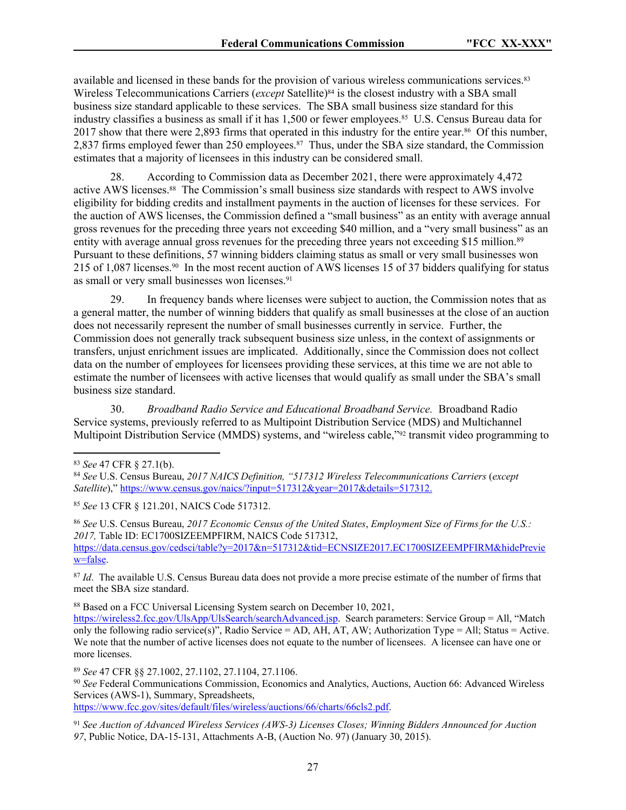available and licensed in these bands for the provision of various wireless communications services.<sup>83</sup> Wireless Telecommunications Carriers (*except* Satellite)<sup>84</sup> is the closest industry with a SBA small business size standard applicable to these services. The SBA small business size standard for this industry classifies a business as small if it has 1,500 or fewer employees.<sup>85</sup> U.S. Census Bureau data for 2017 show that there were 2,893 firms that operated in this industry for the entire year.86 Of this number, 2,837 firms employed fewer than 250 employees.<sup>87</sup> Thus, under the SBA size standard, the Commission estimates that a majority of licensees in this industry can be considered small.

28. According to Commission data as December 2021, there were approximately 4,472 active AWS licenses.88 The Commission's small business size standards with respect to AWS involve eligibility for bidding credits and installment payments in the auction of licenses for these services. For the auction of AWS licenses, the Commission defined a "small business" as an entity with average annual gross revenues for the preceding three years not exceeding \$40 million, and a "very small business" as an entity with average annual gross revenues for the preceding three years not exceeding \$15 million.<sup>89</sup> Pursuant to these definitions, 57 winning bidders claiming status as small or very small businesses won 215 of 1,087 licenses.90 In the most recent auction of AWS licenses 15 of 37 bidders qualifying for status as small or very small businesses won licenses.<sup>91</sup>

29. In frequency bands where licenses were subject to auction, the Commission notes that as a general matter, the number of winning bidders that qualify as small businesses at the close of an auction does not necessarily represent the number of small businesses currently in service. Further, the Commission does not generally track subsequent business size unless, in the context of assignments or transfers, unjust enrichment issues are implicated. Additionally, since the Commission does not collect data on the number of employees for licensees providing these services, at this time we are not able to estimate the number of licensees with active licenses that would qualify as small under the SBA's small business size standard.

30. *Broadband Radio Service and Educational Broadband Service.* Broadband Radio Service systems, previously referred to as Multipoint Distribution Service (MDS) and Multichannel Multipoint Distribution Service (MMDS) systems, and "wireless cable,"92 transmit video programming to

<sup>85</sup> *See* 13 CFR § 121.201, NAICS Code 517312.

<sup>86</sup> *See* U.S. Census Bureau, *2017 Economic Census of the United States*, *Employment Size of Firms for the U.S.: 2017,* Table ID: EC1700SIZEEMPFIRM, NAICS Code 517312, [https://data.census.gov/cedsci/table?y=2017&n=517312&tid=ECNSIZE2017.EC1700SIZEEMPFIRM&hidePrevie](https://data.census.gov/cedsci/table?y=2017&n=517312&tid=ECNSIZE2017.EC1700SIZEEMPFIRM&hidePreview=false) [w=false.](https://data.census.gov/cedsci/table?y=2017&n=517312&tid=ECNSIZE2017.EC1700SIZEEMPFIRM&hidePreview=false)

<sup>87</sup> *Id.* The available U.S. Census Bureau data does not provide a more precise estimate of the number of firms that meet the SBA size standard.

88 Based on a FCC Universal Licensing System search on December 10, 2021,

[https://wireless2.fcc.gov/UlsApp/UlsSearch/searchAdvanced.jsp.](https://wireless2.fcc.gov/UlsApp/UlsSearch/searchAdvanced.jsp) Search parameters: Service Group = All, "Match only the following radio service(s)", Radio Service = AD, AH, AT, AW; Authorization Type = All; Status = Active. We note that the number of active licenses does not equate to the number of licensees. A licensee can have one or more licenses.

<sup>89</sup> *See* 47 CFR §§ 27.1002, 27.1102, 27.1104, 27.1106. <sup>90</sup> *See* Federal Communications Commission, Economics and Analytics, Auctions, Auction 66: Advanced Wireless Services (AWS-1), Summary, Spreadsheets, [https://www.fcc.gov/sites/default/files/wireless/auctions/66/charts/66cls2.pdf.](https://www.fcc.gov/sites/default/files/wireless/auctions/66/charts/66cls2.pdf)

<sup>83</sup> *See* 47 CFR § 27.1(b).

<sup>84</sup> *See* U.S. Census Bureau, *2017 NAICS Definition, "517312 Wireless Telecommunications Carriers* (*except Satellite*)," [https://www.census.gov/naics/?input=517312&year=2017&details=517312.](https://www.census.gov/naics/?input=517312&year=2017&details=517312)

<sup>91</sup> *See Auction of Advanced Wireless Services (AWS-3) Licenses Closes; Winning Bidders Announced for Auction 97*, Public Notice, DA-15-131, Attachments A-B, (Auction No. 97) (January 30, 2015).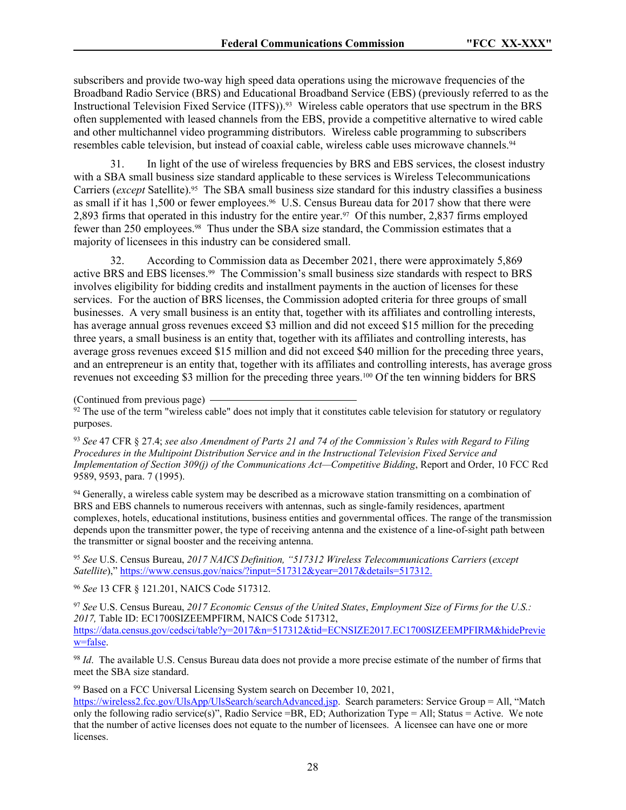subscribers and provide two-way high speed data operations using the microwave frequencies of the Broadband Radio Service (BRS) and Educational Broadband Service (EBS) (previously referred to as the Instructional Television Fixed Service (ITFS)).93 Wireless cable operators that use spectrum in the BRS often supplemented with leased channels from the EBS, provide a competitive alternative to wired cable and other multichannel video programming distributors. Wireless cable programming to subscribers resembles cable television, but instead of coaxial cable, wireless cable uses microwave channels.<sup>94</sup>

31. In light of the use of wireless frequencies by BRS and EBS services, the closest industry with a SBA small business size standard applicable to these services is Wireless Telecommunications Carriers (*except* Satellite).<sup>95</sup> The SBA small business size standard for this industry classifies a business as small if it has 1,500 or fewer employees.<sup>96</sup> U.S. Census Bureau data for 2017 show that there were 2,893 firms that operated in this industry for the entire year.97 Of this number, 2,837 firms employed fewer than 250 employees.<sup>98</sup> Thus under the SBA size standard, the Commission estimates that a majority of licensees in this industry can be considered small.

32. According to Commission data as December 2021, there were approximately 5,869 active BRS and EBS licenses.99 The Commission's small business size standards with respect to BRS involves eligibility for bidding credits and installment payments in the auction of licenses for these services. For the auction of BRS licenses, the Commission adopted criteria for three groups of small businesses. A very small business is an entity that, together with its affiliates and controlling interests, has average annual gross revenues exceed \$3 million and did not exceed \$15 million for the preceding three years, a small business is an entity that, together with its affiliates and controlling interests, has average gross revenues exceed \$15 million and did not exceed \$40 million for the preceding three years, and an entrepreneur is an entity that, together with its affiliates and controlling interests, has average gross revenues not exceeding \$3 million for the preceding three years.100 Of the ten winning bidders for BRS

(Continued from previous page)

 $92$  The use of the term "wireless cable" does not imply that it constitutes cable television for statutory or regulatory purposes.

<sup>93</sup> *See* 47 CFR § 27.4; *see also Amendment of Parts 21 and 74 of the Commission's Rules with Regard to Filing Procedures in the Multipoint Distribution Service and in the Instructional Television Fixed Service and Implementation of Section 309(j) of the Communications Act—Competitive Bidding*, Report and Order, 10 FCC Rcd 9589, 9593, para. 7 (1995).

<sup>94</sup> Generally, a wireless cable system may be described as a microwave station transmitting on a combination of BRS and EBS channels to numerous receivers with antennas, such as single-family residences, apartment complexes, hotels, educational institutions, business entities and governmental offices. The range of the transmission depends upon the transmitter power, the type of receiving antenna and the existence of a line-of-sight path between the transmitter or signal booster and the receiving antenna.

<sup>95</sup> *See* U.S. Census Bureau, *2017 NAICS Definition, "517312 Wireless Telecommunications Carriers* (*except Satellite*)," [https://www.census.gov/naics/?input=517312&year=2017&details=517312.](https://www.census.gov/naics/?input=517312&year=2017&details=517312)

<sup>96</sup> *See* 13 CFR § 121.201, NAICS Code 517312.

<sup>97</sup> *See* U.S. Census Bureau, *2017 Economic Census of the United States*, *Employment Size of Firms for the U.S.: 2017,* Table ID: EC1700SIZEEMPFIRM, NAICS Code 517312, [https://data.census.gov/cedsci/table?y=2017&n=517312&tid=ECNSIZE2017.EC1700SIZEEMPFIRM&hidePrevie](https://data.census.gov/cedsci/table?y=2017&n=517312&tid=ECNSIZE2017.EC1700SIZEEMPFIRM&hidePreview=false) [w=false.](https://data.census.gov/cedsci/table?y=2017&n=517312&tid=ECNSIZE2017.EC1700SIZEEMPFIRM&hidePreview=false)

<sup>98</sup> *Id*. The available U.S. Census Bureau data does not provide a more precise estimate of the number of firms that meet the SBA size standard.

<sup>99</sup> Based on a FCC Universal Licensing System search on December 10, 2021,

[https://wireless2.fcc.gov/UlsApp/UlsSearch/searchAdvanced.jsp.](https://wireless2.fcc.gov/UlsApp/UlsSearch/searchAdvanced.jsp) Search parameters: Service Group = All, "Match only the following radio service(s)", Radio Service =BR, ED; Authorization Type = All; Status = Active. We note that the number of active licenses does not equate to the number of licensees. A licensee can have one or more licenses.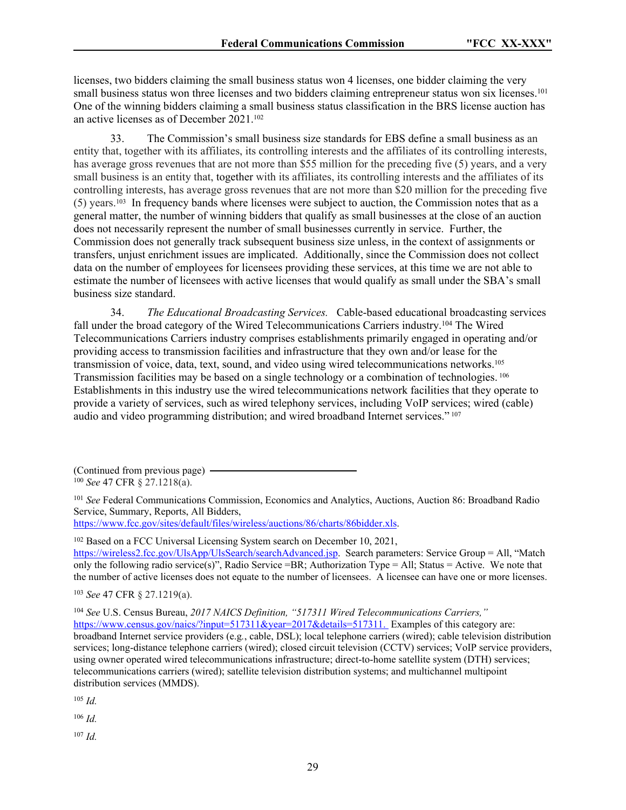licenses, two bidders claiming the small business status won 4 licenses, one bidder claiming the very small business status won three licenses and two bidders claiming entrepreneur status won six licenses.<sup>101</sup> One of the winning bidders claiming a small business status classification in the BRS license auction has an active licenses as of December 2021.<sup>102</sup>

33. The Commission's small business size standards for EBS define a small business as an entity that, together with its affiliates, its controlling interests and the affiliates of its controlling interests, has average gross revenues that are not more than \$55 million for the preceding five (5) years, and a very small business is an entity that, together with its affiliates, its controlling interests and the affiliates of its controlling interests, has average gross revenues that are not more than \$20 million for the preceding five (5) years.103 In frequency bands where licenses were subject to auction, the Commission notes that as a general matter, the number of winning bidders that qualify as small businesses at the close of an auction does not necessarily represent the number of small businesses currently in service. Further, the Commission does not generally track subsequent business size unless, in the context of assignments or transfers, unjust enrichment issues are implicated. Additionally, since the Commission does not collect data on the number of employees for licensees providing these services, at this time we are not able to estimate the number of licensees with active licenses that would qualify as small under the SBA's small business size standard.

34. *The Educational Broadcasting Services.* Cable-based educational broadcasting services fall under the broad category of the Wired Telecommunications Carriers industry.<sup>104</sup> The Wired Telecommunications Carriers industry comprises establishments primarily engaged in operating and/or providing access to transmission facilities and infrastructure that they own and/or lease for the transmission of voice, data, text, sound, and video using wired telecommunications networks.<sup>105</sup> Transmission facilities may be based on a single technology or a combination of technologies.<sup>106</sup> Establishments in this industry use the wired telecommunications network facilities that they operate to provide a variety of services, such as wired telephony services, including VoIP services; wired (cable) audio and video programming distribution; and wired broadband Internet services."<sup>107</sup>

(Continued from previous page) <sup>100</sup> *See* 47 CFR § 27.1218(a).

<sup>101</sup> *See* Federal Communications Commission, Economics and Analytics, Auctions, Auction 86: Broadband Radio Service, Summary, Reports, All Bidders, <https://www.fcc.gov/sites/default/files/wireless/auctions/86/charts/86bidder.xls>.

<sup>102</sup> Based on a FCC Universal Licensing System search on December 10, 2021, [https://wireless2.fcc.gov/UlsApp/UlsSearch/searchAdvanced.jsp.](https://wireless2.fcc.gov/UlsApp/UlsSearch/searchAdvanced.jsp) Search parameters: Service Group = All, "Match only the following radio service(s)", Radio Service =BR; Authorization Type = All; Status = Active. We note that the number of active licenses does not equate to the number of licensees. A licensee can have one or more licenses.

<sup>103</sup> *See* 47 CFR § 27.1219(a).

<sup>104</sup> *See* U.S. Census Bureau, *2017 NAICS Definition, "517311 Wired Telecommunications Carriers,"* [https://www.census.gov/naics/?input=517311&year=2017&details=517311.](https://www.census.gov/naics/?input=517311&year=2017&details=517311) Examples of this category are: broadband Internet service providers (e.g*.*, cable, DSL); local telephone carriers (wired); cable television distribution services; long-distance telephone carriers (wired); closed circuit television (CCTV) services; VoIP service providers, using owner operated wired telecommunications infrastructure; direct-to-home satellite system (DTH) services; telecommunications carriers (wired); satellite television distribution systems; and multichannel multipoint distribution services (MMDS).

<sup>105</sup> *Id.*

<sup>106</sup> *Id.*

<sup>107</sup> *Id.*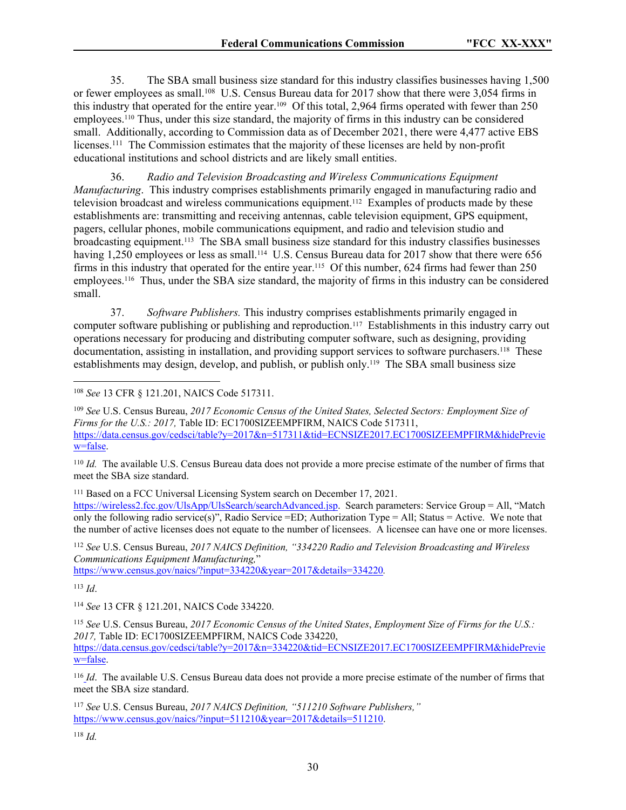35. The SBA small business size standard for this industry classifies businesses having 1,500 or fewer employees as small.<sup>108</sup> U.S. Census Bureau data for 2017 show that there were 3,054 firms in this industry that operated for the entire year.109 Of this total, 2,964 firms operated with fewer than 250 employees.<sup>110</sup> Thus, under this size standard, the majority of firms in this industry can be considered small. Additionally, according to Commission data as of December 2021, there were 4,477 active EBS licenses.<sup>111</sup> The Commission estimates that the majority of these licenses are held by non-profit educational institutions and school districts and are likely small entities.

36. *Radio and Television Broadcasting and Wireless Communications Equipment Manufacturing*. This industry comprises establishments primarily engaged in manufacturing radio and television broadcast and wireless communications equipment.112 Examples of products made by these establishments are: transmitting and receiving antennas, cable television equipment, GPS equipment, pagers, cellular phones, mobile communications equipment, and radio and television studio and broadcasting equipment.113 The SBA small business size standard for this industry classifies businesses having 1,250 employees or less as small.<sup>114</sup> U.S. Census Bureau data for 2017 show that there were 656 firms in this industry that operated for the entire year.<sup>115</sup> Of this number, 624 firms had fewer than 250 employees.116 Thus, under the SBA size standard, the majority of firms in this industry can be considered small.

37. *Software Publishers.* This industry comprises establishments primarily engaged in computer software publishing or publishing and reproduction.117 Establishments in this industry carry out operations necessary for producing and distributing computer software, such as designing, providing documentation, assisting in installation, and providing support services to software purchasers.118 These establishments may design, develop, and publish, or publish only.119 The SBA small business size

<sup>109</sup> *See* U.S. Census Bureau, *2017 Economic Census of the United States, Selected Sectors: Employment Size of Firms for the U.S.: 2017,* Table ID: EC1700SIZEEMPFIRM, NAICS Code 517311, [https://data.census.gov/cedsci/table?y=2017&n=517311&tid=ECNSIZE2017.EC1700SIZEEMPFIRM&hidePrevie](https://data.census.gov/cedsci/table?y=2017&n=517311&tid=ECNSIZE2017.EC1700SIZEEMPFIRM&hidePreview=false) [w=false.](https://data.census.gov/cedsci/table?y=2017&n=517311&tid=ECNSIZE2017.EC1700SIZEEMPFIRM&hidePreview=false)

<sup>110</sup> *Id.* The available U.S. Census Bureau data does not provide a more precise estimate of the number of firms that meet the SBA size standard.

<sup>111</sup> Based on a FCC Universal Licensing System search on December 17, 2021.

[https://wireless2.fcc.gov/UlsApp/UlsSearch/searchAdvanced.jsp.](https://wireless2.fcc.gov/UlsApp/UlsSearch/searchAdvanced.jsp) Search parameters: Service Group = All, "Match only the following radio service(s)", Radio Service =ED; Authorization Type = All; Status = Active. We note that the number of active licenses does not equate to the number of licensees. A licensee can have one or more licenses.

<sup>112</sup> *See* U.S. Census Bureau, *2017 NAICS Definition, "334220 Radio and Television Broadcasting and Wireless Communications Equipment Manufacturing,*"

<https://www.census.gov/naics/?input=334220&year=2017&details=334220>*.* 

<sup>113</sup> *Id*.

<sup>114</sup> *See* 13 CFR § 121.201, NAICS Code 334220.

<sup>116</sup> *Id*. The available U.S. Census Bureau data does not provide a more precise estimate of the number of firms that meet the SBA size standard.

<sup>117</sup> *See* U.S. Census Bureau, *2017 NAICS Definition, "511210 Software Publishers,"* [https://www.census.gov/naics/?input=511210&year=2017&details=511210.](https://www.census.gov/naics/?input=511210&year=2017&details=511210)

<sup>118</sup> *Id.*

<sup>108</sup> *See* 13 CFR § 121.201, NAICS Code 517311.

<sup>115</sup> *See* U.S. Census Bureau, *2017 Economic Census of the United States*, *Employment Size of Firms for the U.S.: 2017,* Table ID: EC1700SIZEEMPFIRM, NAICS Code 334220, [https://data.census.gov/cedsci/table?y=2017&n=334220&tid=ECNSIZE2017.EC1700SIZEEMPFIRM&hidePrevie](https://data.census.gov/cedsci/table?y=2017&n=334220&tid=ECNSIZE2017.EC1700SIZEEMPFIRM&hidePreview=false) [w=false.](https://data.census.gov/cedsci/table?y=2017&n=334220&tid=ECNSIZE2017.EC1700SIZEEMPFIRM&hidePreview=false)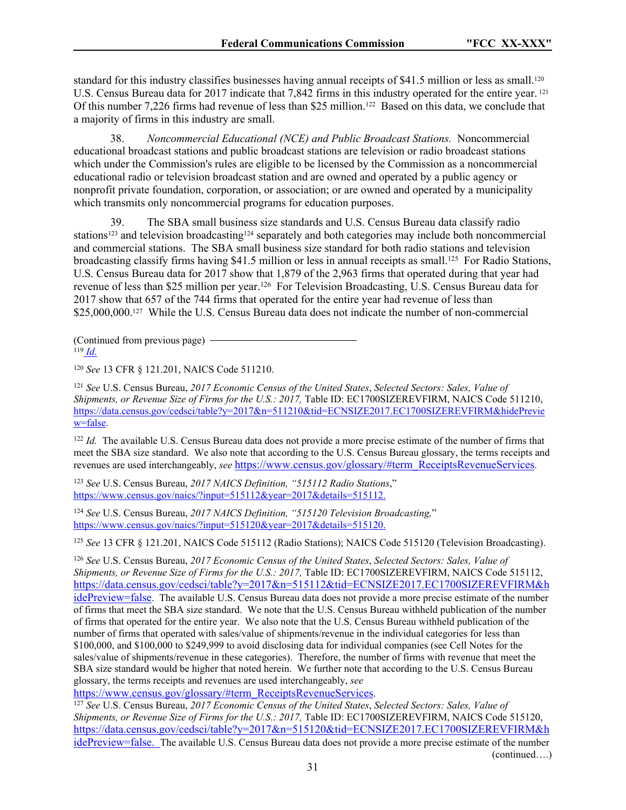standard for this industry classifies businesses having annual receipts of \$41.5 million or less as small.<sup>120</sup> U.S. Census Bureau data for 2017 indicate that 7,842 firms in this industry operated for the entire year.<sup>121</sup> Of this number 7,226 firms had revenue of less than \$25 million.122 Based on this data, we conclude that a majority of firms in this industry are small.

38. *Noncommercial Educational (NCE) and Public Broadcast Stations.* Noncommercial educational broadcast stations and public broadcast stations are television or radio broadcast stations which under the Commission's rules are eligible to be licensed by the Commission as a noncommercial educational radio or television broadcast station and are owned and operated by a public agency or nonprofit private foundation, corporation, or association; or are owned and operated by a municipality which transmits only noncommercial programs for education purposes.

39. The SBA small business size standards and U.S. Census Bureau data classify radio stations<sup>123</sup> and television broadcasting<sup>124</sup> separately and both categories may include both noncommercial and commercial stations.The SBA small business size standard for both radio stations and television broadcasting classify firms having \$41.5 million or less in annual receipts as small.<sup>125</sup> For Radio Stations, U.S. Census Bureau data for 2017 show that 1,879 of the 2,963 firms that operated during that year had revenue of less than \$25 million per year.<sup>126</sup> For Television Broadcasting, U.S. Census Bureau data for 2017 show that 657 of the 744 firms that operated for the entire year had revenue of less than \$25,000,000.<sup>127</sup> While the U.S. Census Bureau data does not indicate the number of non-commercial

(Continued from previous page) <sup>119</sup> *Id.*

<sup>120</sup> *See* 13 CFR § 121.201, NAICS Code 511210.

<sup>121</sup> *See* U.S. Census Bureau, *2017 Economic Census of the United States*, *Selected Sectors: Sales, Value of Shipments, or Revenue Size of Firms for the U.S.: 2017, Table ID: EC1700SIZEREVFIRM, NAICS Code 511210,* [https://data.census.gov/cedsci/table?y=2017&n=511210&tid=ECNSIZE2017.EC1700SIZEREVFIRM&hidePrevie](https://data.census.gov/cedsci/table?y=2017&n=511210&tid=ECNSIZE2017.EC1700SIZEREVFIRM&hidePreview=false) [w=false.](https://data.census.gov/cedsci/table?y=2017&n=511210&tid=ECNSIZE2017.EC1700SIZEREVFIRM&hidePreview=false)

<sup>122</sup> *Id.* The available U.S. Census Bureau data does not provide a more precise estimate of the number of firms that meet the SBA size standard. We also note that according to the U.S. Census Bureau glossary, the terms receipts and revenues are used interchangeably, *see* [https://www.census.gov/glossary/#term\\_ReceiptsRevenueServices](https://www.census.gov/glossary/#term_ReceiptsRevenueServices).

<sup>123</sup> *See* U.S. Census Bureau, *2017 NAICS Definition, "515112 Radio Stations*," [https://www.census.gov/naics/?input=515112&year=2017&details=515112.](https://www.census.gov/naics/?input=515112&year=2017&details=515112)

<sup>124</sup> *See* U.S. Census Bureau, *2017 NAICS Definition, "515120 Television Broadcasting,*" [https://www.census.gov/naics/?input=515120&year=2017&details=515120.](https://www.census.gov/naics/?input=515120&year=2017&details=515120)

<sup>125</sup> *See* 13 CFR § 121.201, NAICS Code 515112 (Radio Stations); NAICS Code 515120 (Television Broadcasting).

<sup>126</sup> *See* U.S. Census Bureau, *2017 Economic Census of the United States*, *Selected Sectors: Sales, Value of Shipments, or Revenue Size of Firms for the U.S.: 2017, Table ID: EC1700SIZEREVFIRM, NAICS Code 515112,* [https://data.census.gov/cedsci/table?y=2017&n=515112&tid=ECNSIZE2017.EC1700SIZEREVFIRM&h](https://data.census.gov/cedsci/table?y=2017&n=515112&tid=ECNSIZE2017.EC1700SIZEREVFIRM&hidePreview=false) [idePreview=false](https://data.census.gov/cedsci/table?y=2017&n=515112&tid=ECNSIZE2017.EC1700SIZEREVFIRM&hidePreview=false). The available U.S. Census Bureau data does not provide a more precise estimate of the number of firms that meet the SBA size standard. We note that the U.S. Census Bureau withheld publication of the number of firms that operated for the entire year. We also note that the U.S. Census Bureau withheld publication of the number of firms that operated with sales/value of shipments/revenue in the individual categories for less than \$100,000, and \$100,000 to \$249,999 to avoid disclosing data for individual companies (see Cell Notes for the sales/value of shipments/revenue in these categories). Therefore, the number of firms with revenue that meet the SBA size standard would be higher that noted herein. We further note that according to the U.S. Census Bureau glossary, the terms receipts and revenues are used interchangeably, *see*

[https://www.census.gov/glossary/#term\\_ReceiptsRevenueServices](https://www.census.gov/glossary/#term_ReceiptsRevenueServices).

<sup>127</sup> *See* U.S. Census Bureau, *2017 Economic Census of the United States*, *Selected Sectors: Sales, Value of Shipments, or Revenue Size of Firms for the U.S.: 2017, Table ID: EC1700SIZEREVFIRM, NAICS Code 515120,* [https://data.census.gov/cedsci/table?y=2017&n=515120&tid=ECNSIZE2017.EC1700SIZEREVFIRM&h](https://data.census.gov/cedsci/table?y=2017&n=515120&tid=ECNSIZE2017.EC1700SIZEREVFIRM&hidePreview=false) [idePreview=false](https://data.census.gov/cedsci/table?y=2017&n=515120&tid=ECNSIZE2017.EC1700SIZEREVFIRM&hidePreview=false). The available U.S. Census Bureau data does not provide a more precise estimate of the number (continued….)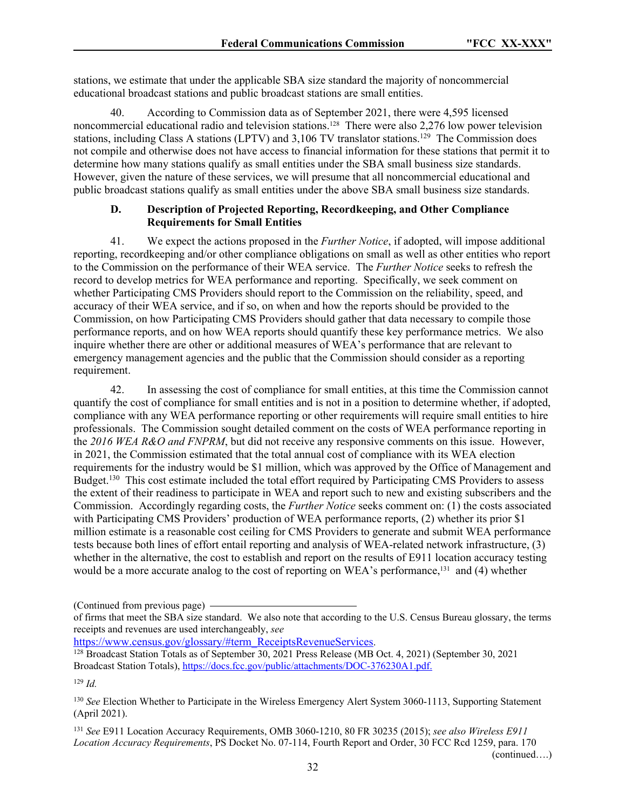stations, we estimate that under the applicable SBA size standard the majority of noncommercial educational broadcast stations and public broadcast stations are small entities.

40. According to Commission data as of September 2021, there were 4,595 licensed noncommercial educational radio and television stations.128 There were also 2,276 low power television stations, including Class A stations (LPTV) and 3,106 TV translator stations.<sup>129</sup> The Commission does not compile and otherwise does not have access to financial information for these stations that permit it to determine how many stations qualify as small entities under the SBA small business size standards. However, given the nature of these services, we will presume that all noncommercial educational and public broadcast stations qualify as small entities under the above SBA small business size standards.

### **D. Description of Projected Reporting, Recordkeeping, and Other Compliance Requirements for Small Entities**

41. We expect the actions proposed in the *Further Notice*, if adopted, will impose additional reporting, recordkeeping and/or other compliance obligations on small as well as other entities who report to the Commission on the performance of their WEA service. The *Further Notice* seeks to refresh the record to develop metrics for WEA performance and reporting. Specifically, we seek comment on whether Participating CMS Providers should report to the Commission on the reliability, speed, and accuracy of their WEA service, and if so, on when and how the reports should be provided to the Commission, on how Participating CMS Providers should gather that data necessary to compile those performance reports, and on how WEA reports should quantify these key performance metrics. We also inquire whether there are other or additional measures of WEA's performance that are relevant to emergency management agencies and the public that the Commission should consider as a reporting requirement.

42. In assessing the cost of compliance for small entities, at this time the Commission cannot quantify the cost of compliance for small entities and is not in a position to determine whether, if adopted, compliance with any WEA performance reporting or other requirements will require small entities to hire professionals. The Commission sought detailed comment on the costs of WEA performance reporting in the *2016 WEA R&O and FNPRM*, but did not receive any responsive comments on this issue. However, in 2021, the Commission estimated that the total annual cost of compliance with its WEA election requirements for the industry would be \$1 million, which was approved by the Office of Management and Budget.<sup>130</sup> This cost estimate included the total effort required by Participating CMS Providers to assess the extent of their readiness to participate in WEA and report such to new and existing subscribers and the Commission. Accordingly regarding costs, the *Further Notice* seeks comment on: (1) the costs associated with Participating CMS Providers' production of WEA performance reports, (2) whether its prior \$1 million estimate is a reasonable cost ceiling for CMS Providers to generate and submit WEA performance tests because both lines of effort entail reporting and analysis of WEA-related network infrastructure, (3) whether in the alternative, the cost to establish and report on the results of E911 location accuracy testing would be a more accurate analog to the cost of reporting on WEA's performance,131 and (4) whether

[https://www.census.gov/glossary/#term\\_ReceiptsRevenueServices](https://www.census.gov/glossary/#term_ReceiptsRevenueServices).

<sup>129</sup> *Id.*

(continued….)

<sup>(</sup>Continued from previous page)

of firms that meet the SBA size standard. We also note that according to the U.S. Census Bureau glossary, the terms receipts and revenues are used interchangeably, *see*

<sup>&</sup>lt;sup>128</sup> Broadcast Station Totals as of September 30, 2021 Press Release (MB Oct. 4, 2021) (September 30, 2021) Broadcast Station Totals), [https://docs.fcc.gov/public/attachments/DOC-376230A1.pdf.](https://docs.fcc.gov/public/attachments/DOC-376230A1.pdf)

<sup>130</sup> *See* Election Whether to Participate in the Wireless Emergency Alert System 3060-1113, Supporting Statement (April 2021).

<sup>131</sup> *See* E911 Location Accuracy Requirements, OMB 3060-1210, 80 FR 30235 (2015); *see also Wireless E911 Location Accuracy Requirements*, PS Docket No. 07-114, Fourth Report and Order, 30 FCC Rcd 1259, para. 170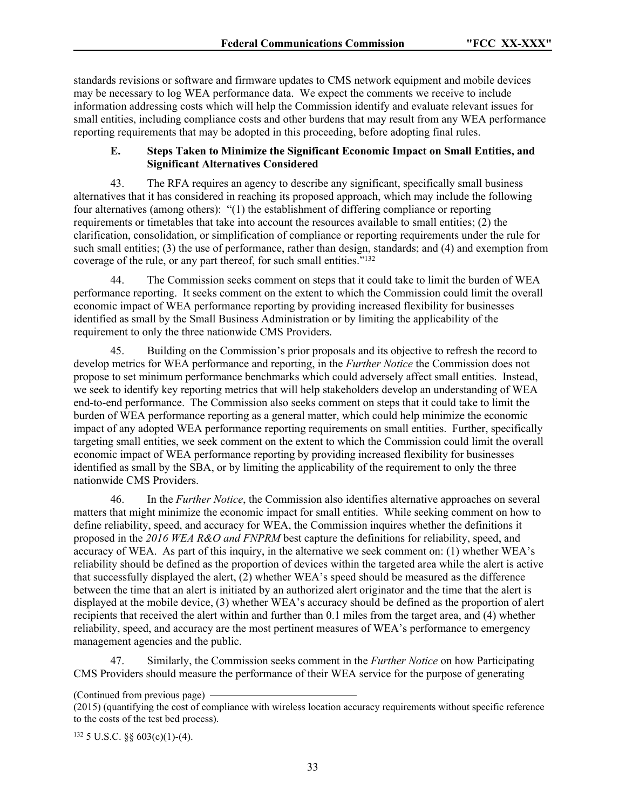standards revisions or software and firmware updates to CMS network equipment and mobile devices may be necessary to log WEA performance data. We expect the comments we receive to include information addressing costs which will help the Commission identify and evaluate relevant issues for small entities, including compliance costs and other burdens that may result from any WEA performance reporting requirements that may be adopted in this proceeding, before adopting final rules.

#### **E. Steps Taken to Minimize the Significant Economic Impact on Small Entities, and Significant Alternatives Considered**

43. The RFA requires an agency to describe any significant, specifically small business alternatives that it has considered in reaching its proposed approach, which may include the following four alternatives (among others): "(1) the establishment of differing compliance or reporting requirements or timetables that take into account the resources available to small entities; (2) the clarification, consolidation, or simplification of compliance or reporting requirements under the rule for such small entities; (3) the use of performance, rather than design, standards; and (4) and exemption from coverage of the rule, or any part thereof, for such small entities."<sup>132</sup>

44. The Commission seeks comment on steps that it could take to limit the burden of WEA performance reporting. It seeks comment on the extent to which the Commission could limit the overall economic impact of WEA performance reporting by providing increased flexibility for businesses identified as small by the Small Business Administration or by limiting the applicability of the requirement to only the three nationwide CMS Providers.

45. Building on the Commission's prior proposals and its objective to refresh the record to develop metrics for WEA performance and reporting, in the *Further Notice* the Commission does not propose to set minimum performance benchmarks which could adversely affect small entities. Instead, we seek to identify key reporting metrics that will help stakeholders develop an understanding of WEA end-to-end performance. The Commission also seeks comment on steps that it could take to limit the burden of WEA performance reporting as a general matter, which could help minimize the economic impact of any adopted WEA performance reporting requirements on small entities. Further, specifically targeting small entities, we seek comment on the extent to which the Commission could limit the overall economic impact of WEA performance reporting by providing increased flexibility for businesses identified as small by the SBA, or by limiting the applicability of the requirement to only the three nationwide CMS Providers.

46. In the *Further Notice*, the Commission also identifies alternative approaches on several matters that might minimize the economic impact for small entities. While seeking comment on how to define reliability, speed, and accuracy for WEA, the Commission inquires whether the definitions it proposed in the *2016 WEA R&O and FNPRM* best capture the definitions for reliability, speed, and accuracy of WEA. As part of this inquiry, in the alternative we seek comment on: (1) whether WEA's reliability should be defined as the proportion of devices within the targeted area while the alert is active that successfully displayed the alert, (2) whether WEA's speed should be measured as the difference between the time that an alert is initiated by an authorized alert originator and the time that the alert is displayed at the mobile device, (3) whether WEA's accuracy should be defined as the proportion of alert recipients that received the alert within and further than 0.1 miles from the target area, and (4) whether reliability, speed, and accuracy are the most pertinent measures of WEA's performance to emergency management agencies and the public.

47. Similarly, the Commission seeks comment in the *Further Notice* on how Participating CMS Providers should measure the performance of their WEA service for the purpose of generating

(Continued from previous page)

132 5 U.S.C. §§ 603(c)(1)-(4).

<sup>(2015) (</sup>quantifying the cost of compliance with wireless location accuracy requirements without specific reference to the costs of the test bed process).